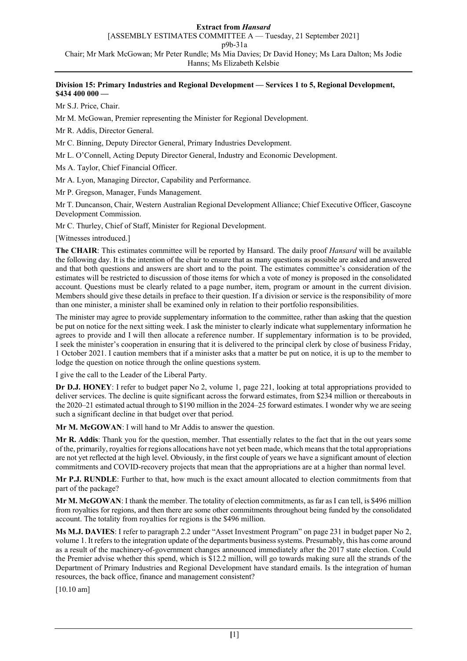## **Division 15: Primary Industries and Regional Development — Services 1 to 5, Regional Development, \$434 400 000 —**

Mr S.J. Price, Chair.

Mr M. McGowan, Premier representing the Minister for Regional Development.

Mr R. Addis, Director General.

Mr C. Binning, Deputy Director General, Primary Industries Development.

Mr L. O'Connell, Acting Deputy Director General, Industry and Economic Development.

Ms A. Taylor, Chief Financial Officer.

Mr A. Lyon, Managing Director, Capability and Performance.

Mr P. Gregson, Manager, Funds Management.

Mr T. Duncanson, Chair, Western Australian Regional Development Alliance; Chief Executive Officer, Gascoyne Development Commission.

Mr C. Thurley, Chief of Staff, Minister for Regional Development.

[Witnesses introduced.]

**The CHAIR**: This estimates committee will be reported by Hansard. The daily proof *Hansard* will be available the following day. It is the intention of the chair to ensure that as many questions as possible are asked and answered and that both questions and answers are short and to the point. The estimates committee's consideration of the estimates will be restricted to discussion of those items for which a vote of money is proposed in the consolidated account. Questions must be clearly related to a page number, item, program or amount in the current division. Members should give these details in preface to their question. If a division or service is the responsibility of more than one minister, a minister shall be examined only in relation to their portfolio responsibilities.

The minister may agree to provide supplementary information to the committee, rather than asking that the question be put on notice for the next sitting week. I ask the minister to clearly indicate what supplementary information he agrees to provide and I will then allocate a reference number. If supplementary information is to be provided, I seek the minister's cooperation in ensuring that it is delivered to the principal clerk by close of business Friday, 1 October 2021. I caution members that if a minister asks that a matter be put on notice, it is up to the member to lodge the question on notice through the online questions system.

I give the call to the Leader of the Liberal Party.

**Dr D.J. HONEY**: I refer to budget paper No 2, volume 1, page 221, looking at total appropriations provided to deliver services. The decline is quite significant across the forward estimates, from \$234 million or thereabouts in the 2020–21 estimated actual through to \$190 million in the 2024–25 forward estimates. I wonder why we are seeing such a significant decline in that budget over that period.

**Mr M. McGOWAN**: I will hand to Mr Addis to answer the question.

**Mr R. Addis**: Thank you for the question, member. That essentially relates to the fact that in the out years some of the, primarily, royalties for regions allocations have not yet been made, which means that the total appropriations are not yet reflected at the high level. Obviously, in the first couple of years we have a significant amount of election commitments and COVID-recovery projects that mean that the appropriations are at a higher than normal level.

**Mr P.J. RUNDLE**: Further to that, how much is the exact amount allocated to election commitments from that part of the package?

**Mr M. McGOWAN**: I thank the member. The totality of election commitments, as far as I can tell, is \$496 million from royalties for regions, and then there are some other commitments throughout being funded by the consolidated account. The totality from royalties for regions is the \$496 million.

**Ms M.J. DAVIES**: I refer to paragraph 2.2 under "Asset Investment Program" on page 231 in budget paper No 2, volume 1. It refers to the integration update of the departments business systems. Presumably, this has come around as a result of the machinery-of-government changes announced immediately after the 2017 state election. Could the Premier advise whether this spend, which is \$12.2 million, will go towards making sure all the strands of the Department of Primary Industries and Regional Development have standard emails. Is the integration of human resources, the back office, finance and management consistent?

[10.10 am]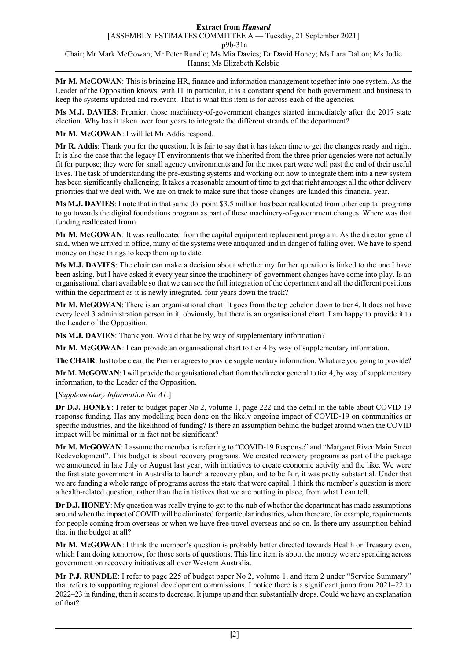**Mr M. McGOWAN**: This is bringing HR, finance and information management together into one system. As the Leader of the Opposition knows, with IT in particular, it is a constant spend for both government and business to keep the systems updated and relevant. That is what this item is for across each of the agencies.

**Ms M.J. DAVIES**: Premier, those machinery-of-government changes started immediately after the 2017 state election. Why has it taken over four years to integrate the different strands of the department?

**Mr M. McGOWAN**: I will let Mr Addis respond.

**Mr R. Addis**: Thank you for the question. It is fair to say that it has taken time to get the changes ready and right. It is also the case that the legacy IT environments that we inherited from the three prior agencies were not actually fit for purpose; they were for small agency environments and for the most part were well past the end of their useful lives. The task of understanding the pre-existing systems and working out how to integrate them into a new system has been significantly challenging. It takes a reasonable amount of time to get that right amongst all the other delivery priorities that we deal with. We are on track to make sure that those changes are landed this financial year.

**Ms M.J. DAVIES**: I note that in that same dot point \$3.5 million has been reallocated from other capital programs to go towards the digital foundations program as part of these machinery-of-government changes. Where was that funding reallocated from?

**Mr M. McGOWAN**: It was reallocated from the capital equipment replacement program. As the director general said, when we arrived in office, many of the systems were antiquated and in danger of falling over. We have to spend money on these things to keep them up to date.

**Ms M.J. DAVIES**: The chair can make a decision about whether my further question is linked to the one I have been asking, but I have asked it every year since the machinery-of-government changes have come into play. Is an organisational chart available so that we can see the full integration of the department and all the different positions within the department as it is newly integrated, four years down the track?

**Mr M. McGOWAN**: There is an organisational chart. It goes from the top echelon down to tier 4. It does not have every level 3 administration person in it, obviously, but there is an organisational chart. I am happy to provide it to the Leader of the Opposition.

**Ms M.J. DAVIES**: Thank you. Would that be by way of supplementary information?

**Mr M. McGOWAN**: I can provide an organisational chart to tier 4 by way of supplementary information.

**The CHAIR**: Just to be clear, the Premier agrees to provide supplementary information. What are you going to provide?

**Mr M. McGOWAN**: I will provide the organisational chart from the director general to tier 4, by way of supplementary information, to the Leader of the Opposition.

[*Supplementary Information No A1.*]

**Dr D.J. HONEY**: I refer to budget paper No 2, volume 1, page 222 and the detail in the table about COVID-19 response funding. Has any modelling been done on the likely ongoing impact of COVID-19 on communities or specific industries, and the likelihood of funding? Is there an assumption behind the budget around when the COVID impact will be minimal or in fact not be significant?

**Mr M. McGOWAN**: I assume the member is referring to "COVID-19 Response" and "Margaret River Main Street Redevelopment". This budget is about recovery programs. We created recovery programs as part of the package we announced in late July or August last year, with initiatives to create economic activity and the like. We were the first state government in Australia to launch a recovery plan, and to be fair, it was pretty substantial. Under that we are funding a whole range of programs across the state that were capital. I think the member's question is more a health-related question, rather than the initiatives that we are putting in place, from what I can tell.

**Dr D.J. HONEY**: My question was really trying to get to the nub of whether the department has made assumptions around when the impact of COVID will be eliminated for particular industries, when there are, for example, requirements for people coming from overseas or when we have free travel overseas and so on. Is there any assumption behind that in the budget at all?

**Mr M. McGOWAN**: I think the member's question is probably better directed towards Health or Treasury even, which I am doing tomorrow, for those sorts of questions. This line item is about the money we are spending across government on recovery initiatives all over Western Australia.

**Mr P.J. RUNDLE**: I refer to page 225 of budget paper No 2, volume 1, and item 2 under "Service Summary" that refers to supporting regional development commissions. I notice there is a significant jump from 2021–22 to 2022–23 in funding, then it seems to decrease. It jumps up and then substantially drops. Could we have an explanation of that?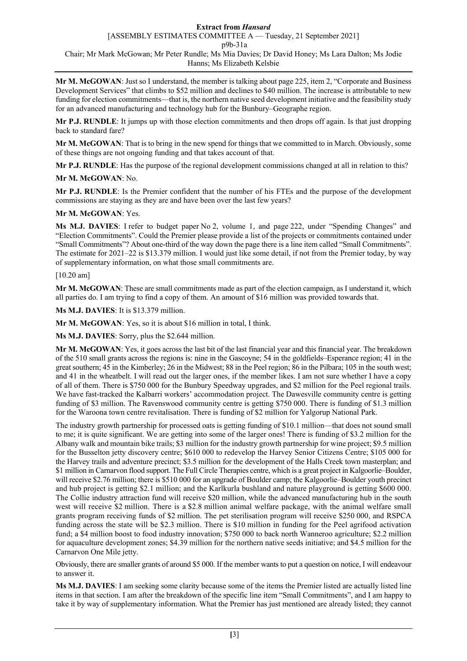**Mr M. McGOWAN**: Just so I understand, the member is talking about page 225, item 2, "Corporate and Business Development Services" that climbs to \$52 million and declines to \$40 million. The increase is attributable to new funding for election commitments—that is, the northern native seed development initiative and the feasibility study for an advanced manufacturing and technology hub for the Bunbury–Geographe region.

**Mr P.J. RUNDLE**: It jumps up with those election commitments and then drops off again. Is that just dropping back to standard fare?

**Mr M. McGOWAN**: That is to bring in the new spend for things that we committed to in March. Obviously, some of these things are not ongoing funding and that takes account of that.

**Mr P.J. RUNDLE**: Has the purpose of the regional development commissions changed at all in relation to this?

# **Mr M. McGOWAN**: No.

**Mr P.J. RUNDLE**: Is the Premier confident that the number of his FTEs and the purpose of the development commissions are staying as they are and have been over the last few years?

# **Mr M. McGOWAN**: Yes.

**Ms M.J. DAVIES**: I refer to budget paper No 2, volume 1, and page 222, under "Spending Changes" and "Election Commitments". Could the Premier please provide a list of the projects or commitments contained under "Small Commitments"? About one-third of the way down the page there is a line item called "Small Commitments". The estimate for 2021–22 is \$13.379 million. I would just like some detail, if not from the Premier today, by way of supplementary information, on what those small commitments are.

## [10.20 am]

**Mr M. McGOWAN**: These are small commitments made as part of the election campaign, as I understand it, which all parties do. I am trying to find a copy of them. An amount of \$16 million was provided towards that.

**Ms M.J. DAVIES**: It is \$13.379 million.

**Mr M. McGOWAN**: Yes, so it is about \$16 million in total, I think.

**Ms M.J. DAVIES**: Sorry, plus the \$2.644 million.

**Mr M. McGOWAN**: Yes, it goes across the last bit of the last financial year and this financial year. The breakdown of the 510 small grants across the regions is: nine in the Gascoyne; 54 in the goldfields–Esperance region; 41 in the great southern; 45 in the Kimberley; 26 in the Midwest; 88 in the Peel region; 86 in the Pilbara; 105 in the south west; and 41 in the wheatbelt. I will read out the larger ones, if the member likes. I am not sure whether I have a copy of all of them. There is \$750 000 for the Bunbury Speedway upgrades, and \$2 million for the Peel regional trails. We have fast-tracked the Kalbarri workers' accommodation project. The Dawesville community centre is getting funding of \$3 million. The Ravenswood community centre is getting \$750 000. There is funding of \$1.3 million for the Waroona town centre revitalisation. There is funding of \$2 million for Yalgorup National Park.

The industry growth partnership for processed oats is getting funding of \$10.1 million—that does not sound small to me; it is quite significant. We are getting into some of the larger ones! There is funding of \$3.2 million for the Albany walk and mountain bike trails; \$3 million for the industry growth partnership for wine project; \$9.5 million for the Busselton jetty discovery centre; \$610 000 to redevelop the Harvey Senior Citizens Centre; \$105 000 for the Harvey trails and adventure precinct; \$3.5 million for the development of the Halls Creek town masterplan; and \$1 million in Carnarvon flood support. The Full Circle Therapies centre, which is a great project in Kalgoorlie–Boulder, will receive \$2.76 million; there is \$510 000 for an upgrade of Boulder camp; the Kalgoorlie–Boulder youth precinct and hub project is getting \$2.1 million; and the Karlkurla bushland and nature playground is getting \$600 000. The Collie industry attraction fund will receive \$20 million, while the advanced manufacturing hub in the south west will receive \$2 million. There is a \$2.8 million animal welfare package, with the animal welfare small grants program receiving funds of \$2 million. The pet sterilisation program will receive \$250 000, and RSPCA funding across the state will be \$2.3 million. There is \$10 million in funding for the Peel agrifood activation fund; a \$4 million boost to food industry innovation; \$750 000 to back north Wanneroo agriculture; \$2.2 million for aquaculture development zones; \$4.39 million for the northern native seeds initiative; and \$4.5 million for the Carnarvon One Mile jetty.

Obviously, there are smaller grants of around \$5 000. If the member wants to put a question on notice, I will endeavour to answer it.

**Ms M.J. DAVIES**: I am seeking some clarity because some of the items the Premier listed are actually listed line items in that section. I am after the breakdown of the specific line item "Small Commitments", and I am happy to take it by way of supplementary information. What the Premier has just mentioned are already listed; they cannot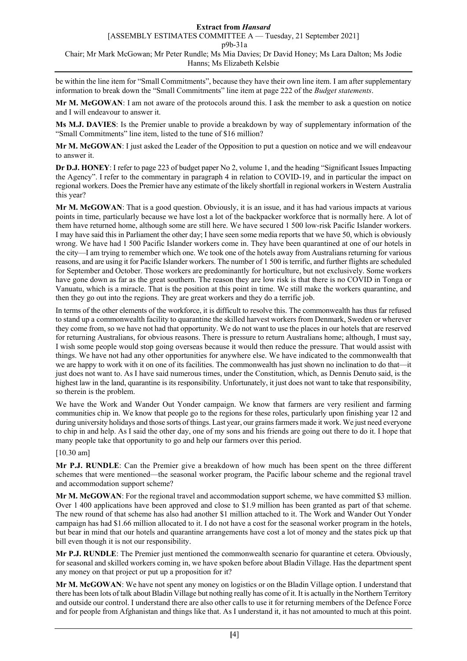be within the line item for "Small Commitments", because they have their own line item. I am after supplementary information to break down the "Small Commitments" line item at page 222 of the *Budget statements*.

**Mr M. McGOWAN**: I am not aware of the protocols around this. I ask the member to ask a question on notice and I will endeavour to answer it.

**Ms M.J. DAVIES**: Is the Premier unable to provide a breakdown by way of supplementary information of the "Small Commitments" line item, listed to the tune of \$16 million?

**Mr M. McGOWAN**: I just asked the Leader of the Opposition to put a question on notice and we will endeavour to answer it.

**Dr D.J. HONEY**: I refer to page 223 of budget paper No 2, volume 1, and the heading "Significant Issues Impacting the Agency". I refer to the commentary in paragraph 4 in relation to COVID-19, and in particular the impact on regional workers. Does the Premier have any estimate of the likely shortfall in regional workers in Western Australia this year?

**Mr M. McGOWAN**: That is a good question. Obviously, it is an issue, and it has had various impacts at various points in time, particularly because we have lost a lot of the backpacker workforce that is normally here. A lot of them have returned home, although some are still here. We have secured 1 500 low-risk Pacific Islander workers. I may have said this in Parliament the other day; I have seen some media reports that we have 50, which is obviously wrong. We have had 1 500 Pacific Islander workers come in. They have been quarantined at one of our hotels in the city—I am trying to remember which one. We took one of the hotels away from Australians returning for various reasons, and are using it for Pacific Islander workers. The number of 1 500 is terrific, and further flights are scheduled for September and October. Those workers are predominantly for horticulture, but not exclusively. Some workers have gone down as far as the great southern. The reason they are low risk is that there is no COVID in Tonga or Vanuatu, which is a miracle. That is the position at this point in time. We still make the workers quarantine, and then they go out into the regions. They are great workers and they do a terrific job.

In terms of the other elements of the workforce, it is difficult to resolve this. The commonwealth has thus far refused to stand up a commonwealth facility to quarantine the skilled harvest workers from Denmark, Sweden or wherever they come from, so we have not had that opportunity. We do not want to use the places in our hotels that are reserved for returning Australians, for obvious reasons. There is pressure to return Australians home; although, I must say, I wish some people would stop going overseas because it would then reduce the pressure. That would assist with things. We have not had any other opportunities for anywhere else. We have indicated to the commonwealth that we are happy to work with it on one of its facilities. The commonwealth has just shown no inclination to do that—it just does not want to. As I have said numerous times, under the Constitution, which, as Dennis Denuto said, is the highest law in the land, quarantine is its responsibility. Unfortunately, it just does not want to take that responsibility, so therein is the problem.

We have the Work and Wander Out Yonder campaign. We know that farmers are very resilient and farming communities chip in. We know that people go to the regions for these roles, particularly upon finishing year 12 and during university holidays and those sorts of things. Last year, our grains farmers made it work. We just need everyone to chip in and help. As I said the other day, one of my sons and his friends are going out there to do it. I hope that many people take that opportunity to go and help our farmers over this period.

[10.30 am]

**Mr P.J. RUNDLE**: Can the Premier give a breakdown of how much has been spent on the three different schemes that were mentioned—the seasonal worker program, the Pacific labour scheme and the regional travel and accommodation support scheme?

**Mr M. McGOWAN**: For the regional travel and accommodation support scheme, we have committed \$3 million. Over 1 400 applications have been approved and close to \$1.9 million has been granted as part of that scheme. The new round of that scheme has also had another \$1 million attached to it. The Work and Wander Out Yonder campaign has had \$1.66 million allocated to it. I do not have a cost for the seasonal worker program in the hotels, but bear in mind that our hotels and quarantine arrangements have cost a lot of money and the states pick up that bill even though it is not our responsibility.

**Mr P.J. RUNDLE**: The Premier just mentioned the commonwealth scenario for quarantine et cetera. Obviously, for seasonal and skilled workers coming in, we have spoken before about Bladin Village. Has the department spent any money on that project or put up a proposition for it?

**Mr M. McGOWAN**: We have not spent any money on logistics or on the Bladin Village option. I understand that there has been lots of talk about Bladin Village but nothing really has come of it. It is actually in the Northern Territory and outside our control. I understand there are also other calls to use it for returning members of the Defence Force and for people from Afghanistan and things like that. As I understand it, it has not amounted to much at this point.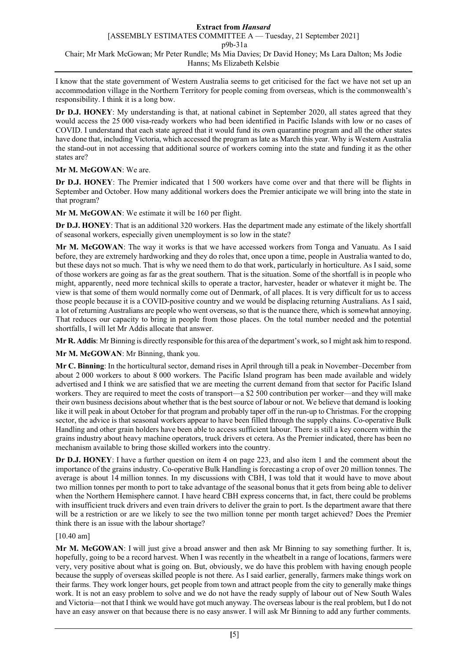I know that the state government of Western Australia seems to get criticised for the fact we have not set up an accommodation village in the Northern Territory for people coming from overseas, which is the commonwealth's responsibility. I think it is a long bow.

**Dr D.J. HONEY**: My understanding is that, at national cabinet in September 2020, all states agreed that they would access the 25 000 visa-ready workers who had been identified in Pacific Islands with low or no cases of COVID. I understand that each state agreed that it would fund its own quarantine program and all the other states have done that, including Victoria, which accessed the program as late as March this year. Why is Western Australia the stand-out in not accessing that additional source of workers coming into the state and funding it as the other states are?

# **Mr M. McGOWAN**: We are.

**Dr D.J. HONEY**: The Premier indicated that 1 500 workers have come over and that there will be flights in September and October. How many additional workers does the Premier anticipate we will bring into the state in that program?

**Mr M. McGOWAN**: We estimate it will be 160 per flight.

**Dr D.J. HONEY**: That is an additional 320 workers. Has the department made any estimate of the likely shortfall of seasonal workers, especially given unemployment is so low in the state?

**Mr M. McGOWAN**: The way it works is that we have accessed workers from Tonga and Vanuatu. As I said before, they are extremely hardworking and they do roles that, once upon a time, people in Australia wanted to do, but these days not so much. That is why we need them to do that work, particularly in horticulture. As I said, some of those workers are going as far as the great southern. That is the situation. Some of the shortfall is in people who might, apparently, need more technical skills to operate a tractor, harvester, header or whatever it might be. The view is that some of them would normally come out of Denmark, of all places. It is very difficult for us to access those people because it is a COVID-positive country and we would be displacing returning Australians. As I said, a lot of returning Australians are people who went overseas, so that is the nuance there, which is somewhat annoying. That reduces our capacity to bring in people from those places. On the total number needed and the potential shortfalls, I will let Mr Addis allocate that answer.

**Mr R. Addis**: Mr Binning is directly responsible for this area of the department's work, so I might ask him to respond.

**Mr M. McGOWAN**: Mr Binning, thank you.

**Mr C. Binning**: In the horticultural sector, demand rises in April through till a peak in November–December from about 2 000 workers to about 8 000 workers. The Pacific Island program has been made available and widely advertised and I think we are satisfied that we are meeting the current demand from that sector for Pacific Island workers. They are required to meet the costs of transport—a \$2 500 contribution per worker—and they will make their own business decisions about whether that is the best source of labour or not. We believe that demand is looking like it will peak in about October for that program and probably taper off in the run-up to Christmas. For the cropping sector, the advice is that seasonal workers appear to have been filled through the supply chains. Co-operative Bulk Handling and other grain holders have been able to access sufficient labour. There is still a key concern within the grains industry about heavy machine operators, truck drivers et cetera. As the Premier indicated, there has been no mechanism available to bring those skilled workers into the country.

**Dr D.J. HONEY**: I have a further question on item 4 on page 223, and also item 1 and the comment about the importance of the grains industry. Co-operative Bulk Handling is forecasting a crop of over 20 million tonnes. The average is about 14 million tonnes. In my discussions with CBH, I was told that it would have to move about two million tonnes per month to port to take advantage of the seasonal bonus that it gets from being able to deliver when the Northern Hemisphere cannot. I have heard CBH express concerns that, in fact, there could be problems with insufficient truck drivers and even train drivers to deliver the grain to port. Is the department aware that there will be a restriction or are we likely to see the two million tonne per month target achieved? Does the Premier think there is an issue with the labour shortage?

# [10.40 am]

**Mr M. McGOWAN**: I will just give a broad answer and then ask Mr Binning to say something further. It is, hopefully, going to be a record harvest. When I was recently in the wheatbelt in a range of locations, farmers were very, very positive about what is going on. But, obviously, we do have this problem with having enough people because the supply of overseas skilled people is not there. As I said earlier, generally, farmers make things work on their farms. They work longer hours, get people from town and attract people from the city to generally make things work. It is not an easy problem to solve and we do not have the ready supply of labour out of New South Wales and Victoria—not that I think we would have got much anyway. The overseas labour is the real problem, but I do not have an easy answer on that because there is no easy answer. I will ask Mr Binning to add any further comments.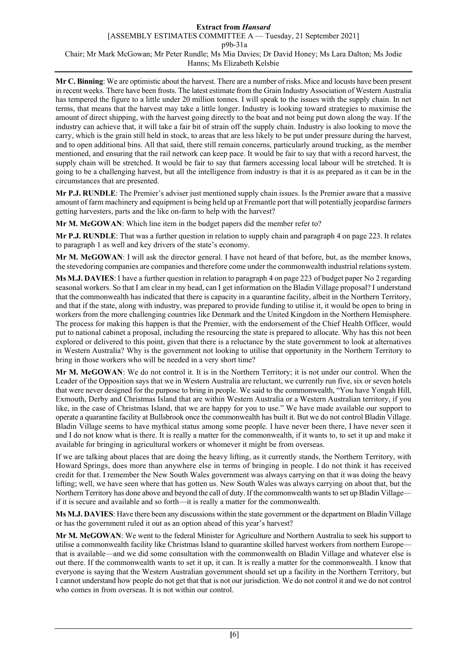**Mr C. Binning**: We are optimistic about the harvest. There are a number of risks. Mice and locusts have been present in recent weeks. There have been frosts. The latest estimate from the Grain Industry Association of Western Australia has tempered the figure to a little under 20 million tonnes. I will speak to the issues with the supply chain. In net terms, that means that the harvest may take a little longer. Industry is looking toward strategies to maximise the amount of direct shipping, with the harvest going directly to the boat and not being put down along the way. If the industry can achieve that, it will take a fair bit of strain off the supply chain. Industry is also looking to move the carry, which is the grain still held in stock, to areas that are less likely to be put under pressure during the harvest, and to open additional bins. All that said, there still remain concerns, particularly around trucking, as the member mentioned, and ensuring that the rail network can keep pace. It would be fair to say that with a record harvest, the supply chain will be stretched. It would be fair to say that farmers accessing local labour will be stretched. It is going to be a challenging harvest, but all the intelligence from industry is that it is as prepared as it can be in the circumstances that are presented.

**Mr P.J. RUNDLE**: The Premier's adviser just mentioned supply chain issues. Is the Premier aware that a massive amount of farm machinery and equipment is being held up at Fremantle port that will potentially jeopardise farmers getting harvesters, parts and the like on-farm to help with the harvest?

**Mr M. McGOWAN**: Which line item in the budget papers did the member refer to?

**Mr P.J. RUNDLE**: That was a further question in relation to supply chain and paragraph 4 on page 223. It relates to paragraph 1 as well and key drivers of the state's economy.

**Mr M. McGOWAN**: I will ask the director general. I have not heard of that before, but, as the member knows, the stevedoring companies are companies and therefore come under the commonwealth industrial relations system.

**Ms M.J. DAVIES**: I have a further question in relation to paragraph 4 on page 223 of budget paper No 2 regarding seasonal workers. So that I am clear in my head, can I get information on the Bladin Village proposal? I understand that the commonwealth has indicated that there is capacity in a quarantine facility, albeit in the Northern Territory, and that if the state, along with industry, was prepared to provide funding to utilise it, it would be open to bring in workers from the more challenging countries like Denmark and the United Kingdom in the Northern Hemisphere. The process for making this happen is that the Premier, with the endorsement of the Chief Health Officer, would put to national cabinet a proposal, including the resourcing the state is prepared to allocate. Why has this not been explored or delivered to this point, given that there is a reluctance by the state government to look at alternatives in Western Australia? Why is the government not looking to utilise that opportunity in the Northern Territory to bring in those workers who will be needed in a very short time?

**Mr M. McGOWAN**: We do not control it. It is in the Northern Territory; it is not under our control. When the Leader of the Opposition says that we in Western Australia are reluctant, we currently run five, six or seven hotels that were never designed for the purpose to bring in people. We said to the commonwealth, "You have Yongah Hill, Exmouth, Derby and Christmas Island that are within Western Australia or a Western Australian territory, if you like, in the case of Christmas Island, that we are happy for you to use." We have made available our support to operate a quarantine facility at Bullsbrook once the commonwealth has built it. But we do not control Bladin Village. Bladin Village seems to have mythical status among some people. I have never been there, I have never seen it and I do not know what is there. It is really a matter for the commonwealth, if it wants to, to set it up and make it available for bringing in agricultural workers or whomever it might be from overseas.

If we are talking about places that are doing the heavy lifting, as it currently stands, the Northern Territory, with Howard Springs, does more than anywhere else in terms of bringing in people. I do not think it has received credit for that. I remember the New South Wales government was always carrying on that it was doing the heavy lifting; well, we have seen where that has gotten us. New South Wales was always carrying on about that, but the Northern Territory has done above and beyond the call of duty. If the commonwealth wants to set up Bladin Village if it is secure and available and so forth—it is really a matter for the commonwealth.

**Ms M.J. DAVIES**: Have there been any discussions within the state government or the department on Bladin Village or has the government ruled it out as an option ahead of this year's harvest?

**Mr M. McGOWAN**: We went to the federal Minister for Agriculture and Northern Australia to seek his support to utilise a commonwealth facility like Christmas Island to quarantine skilled harvest workers from northern Europe that is available—and we did some consultation with the commonwealth on Bladin Village and whatever else is out there. If the commonwealth wants to set it up, it can. It is really a matter for the commonwealth. I know that everyone is saying that the Western Australian government should set up a facility in the Northern Territory, but I cannot understand how people do not get that that is not our jurisdiction. We do not control it and we do not control who comes in from overseas. It is not within our control.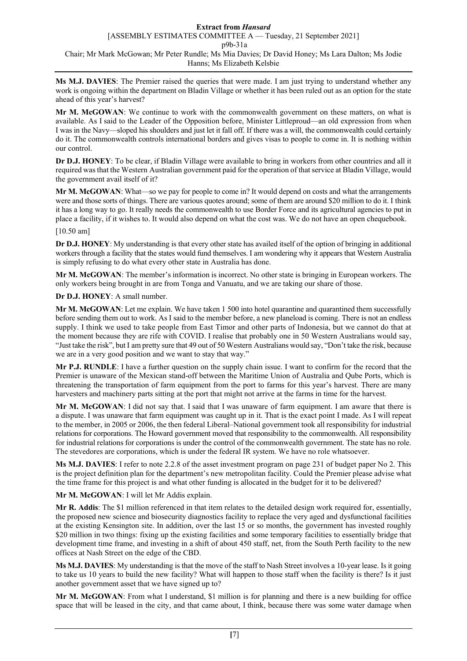**Ms M.J. DAVIES**: The Premier raised the queries that were made. I am just trying to understand whether any work is ongoing within the department on Bladin Village or whether it has been ruled out as an option for the state ahead of this year's harvest?

**Mr M. McGOWAN**: We continue to work with the commonwealth government on these matters, on what is available. As I said to the Leader of the Opposition before, Minister Littleproud—an old expression from when I was in the Navy—sloped his shoulders and just let it fall off. If there was a will, the commonwealth could certainly do it. The commonwealth controls international borders and gives visas to people to come in. It is nothing within our control.

**Dr D.J. HONEY**: To be clear, if Bladin Village were available to bring in workers from other countries and all it required was that the Western Australian government paid for the operation of that service at Bladin Village, would the government avail itself of it?

**Mr M. McGOWAN**: What—so we pay for people to come in? It would depend on costs and what the arrangements were and those sorts of things. There are various quotes around; some of them are around \$20 million to do it. I think it has a long way to go. It really needs the commonwealth to use Border Force and its agricultural agencies to put in place a facility, if it wishes to. It would also depend on what the cost was. We do not have an open chequebook.

## [10.50 am]

**Dr D.J. HONEY**: My understanding is that every other state has availed itself of the option of bringing in additional workers through a facility that the states would fund themselves. I am wondering why it appears that Western Australia is simply refusing to do what every other state in Australia has done.

**Mr M. McGOWAN**: The member's information is incorrect. No other state is bringing in European workers. The only workers being brought in are from Tonga and Vanuatu, and we are taking our share of those.

# **Dr D.J. HONEY**: A small number.

**Mr M. McGOWAN**: Let me explain. We have taken 1 500 into hotel quarantine and quarantined them successfully before sending them out to work. As I said to the member before, a new planeload is coming. There is not an endless supply. I think we used to take people from East Timor and other parts of Indonesia, but we cannot do that at the moment because they are rife with COVID. I realise that probably one in 50 Western Australians would say, "Just take the risk", but I am pretty sure that 49 out of 50 Western Australians would say, "Don't take the risk, because we are in a very good position and we want to stay that way."

**Mr P.J. RUNDLE**: I have a further question on the supply chain issue. I want to confirm for the record that the Premier is unaware of the Mexican stand-off between the Maritime Union of Australia and Qube Ports, which is threatening the transportation of farm equipment from the port to farms for this year's harvest. There are many harvesters and machinery parts sitting at the port that might not arrive at the farms in time for the harvest.

**Mr M. McGOWAN**: I did not say that. I said that I was unaware of farm equipment. I am aware that there is a dispute. I was unaware that farm equipment was caught up in it. That is the exact point I made. As I will repeat to the member, in 2005 or 2006, the then federal Liberal–National government took all responsibility for industrial relations for corporations. The Howard government moved that responsibility to the commonwealth. All responsibility for industrial relations for corporations is under the control of the commonwealth government. The state has no role. The stevedores are corporations, which is under the federal IR system. We have no role whatsoever.

**Ms M.J. DAVIES**: I refer to note 2.2.8 of the asset investment program on page 231 of budget paper No 2. This is the project definition plan for the department's new metropolitan facility. Could the Premier please advise what the time frame for this project is and what other funding is allocated in the budget for it to be delivered?

**Mr M. McGOWAN**: I will let Mr Addis explain.

**Mr R. Addis**: The \$1 million referenced in that item relates to the detailed design work required for, essentially, the proposed new science and biosecurity diagnostics facility to replace the very aged and dysfunctional facilities at the existing Kensington site. In addition, over the last 15 or so months, the government has invested roughly \$20 million in two things: fixing up the existing facilities and some temporary facilities to essentially bridge that development time frame, and investing in a shift of about 450 staff, net, from the South Perth facility to the new offices at Nash Street on the edge of the CBD.

**Ms M.J. DAVIES**: My understanding is that the move of the staff to Nash Street involves a 10-year lease. Is it going to take us 10 years to build the new facility? What will happen to those staff when the facility is there? Is it just another government asset that we have signed up to?

**Mr M. McGOWAN**: From what I understand, \$1 million is for planning and there is a new building for office space that will be leased in the city, and that came about, I think, because there was some water damage when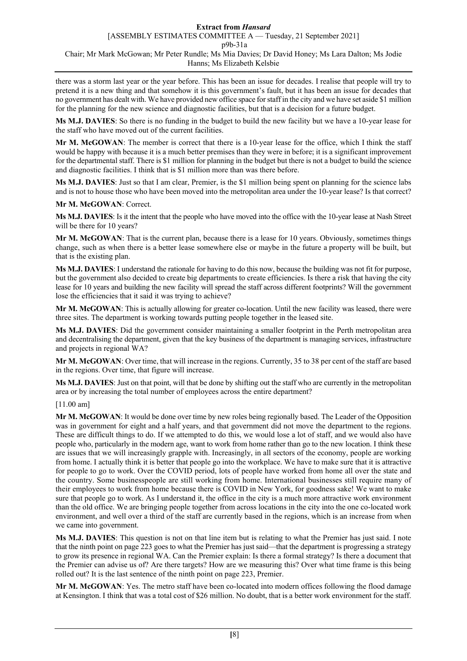there was a storm last year or the year before. This has been an issue for decades. I realise that people will try to pretend it is a new thing and that somehow it is this government's fault, but it has been an issue for decades that no government has dealt with. We have provided new office space for staff in the city and we have set aside \$1 million for the planning for the new science and diagnostic facilities, but that is a decision for a future budget.

**Ms M.J. DAVIES**: So there is no funding in the budget to build the new facility but we have a 10-year lease for the staff who have moved out of the current facilities.

**Mr M. McGOWAN**: The member is correct that there is a 10-year lease for the office, which I think the staff would be happy with because it is a much better premises than they were in before; it is a significant improvement for the departmental staff. There is \$1 million for planning in the budget but there is not a budget to build the science and diagnostic facilities. I think that is \$1 million more than was there before.

**Ms M.J. DAVIES**: Just so that I am clear, Premier, is the \$1 million being spent on planning for the science labs and is not to house those who have been moved into the metropolitan area under the 10-year lease? Is that correct?

**Mr M. McGOWAN**: Correct.

**Ms M.J. DAVIES**: Is it the intent that the people who have moved into the office with the 10-year lease at Nash Street will be there for 10 years?

**Mr M. McGOWAN**: That is the current plan, because there is a lease for 10 years. Obviously, sometimes things change, such as when there is a better lease somewhere else or maybe in the future a property will be built, but that is the existing plan.

**Ms M.J. DAVIES**: I understand the rationale for having to do this now, because the building was not fit for purpose, but the government also decided to create big departments to create efficiencies. Is there a risk that having the city lease for 10 years and building the new facility will spread the staff across different footprints? Will the government lose the efficiencies that it said it was trying to achieve?

**Mr M. McGOWAN**: This is actually allowing for greater co-location. Until the new facility was leased, there were three sites. The department is working towards putting people together in the leased site.

**Ms M.J. DAVIES**: Did the government consider maintaining a smaller footprint in the Perth metropolitan area and decentralising the department, given that the key business of the department is managing services, infrastructure and projects in regional WA?

**Mr M. McGOWAN**: Over time, that will increase in the regions. Currently, 35 to 38 per cent of the staff are based in the regions. Over time, that figure will increase.

**Ms M.J. DAVIES**: Just on that point, will that be done by shifting out the staff who are currently in the metropolitan area or by increasing the total number of employees across the entire department?

[11.00 am]

**Mr M. McGOWAN**: It would be done over time by new roles being regionally based. The Leader of the Opposition was in government for eight and a half years, and that government did not move the department to the regions. These are difficult things to do. If we attempted to do this, we would lose a lot of staff, and we would also have people who, particularly in the modern age, want to work from home rather than go to the new location. I think these are issues that we will increasingly grapple with. Increasingly, in all sectors of the economy, people are working from home. I actually think it is better that people go into the workplace. We have to make sure that it is attractive for people to go to work. Over the COVID period, lots of people have worked from home all over the state and the country. Some businesspeople are still working from home. International businesses still require many of their employees to work from home because there is COVID in New York, for goodness sake! We want to make sure that people go to work. As I understand it, the office in the city is a much more attractive work environment than the old office. We are bringing people together from across locations in the city into the one co-located work environment, and well over a third of the staff are currently based in the regions, which is an increase from when we came into government.

**Ms M.J. DAVIES**: This question is not on that line item but is relating to what the Premier has just said. I note that the ninth point on page 223 goes to what the Premier has just said—that the department is progressing a strategy to grow its presence in regional WA. Can the Premier explain: Is there a formal strategy? Is there a document that the Premier can advise us of? Are there targets? How are we measuring this? Over what time frame is this being rolled out? It is the last sentence of the ninth point on page 223, Premier.

**Mr M. McGOWAN**: Yes. The metro staff have been co-located into modern offices following the flood damage at Kensington. I think that was a total cost of \$26 million. No doubt, that is a better work environment for the staff.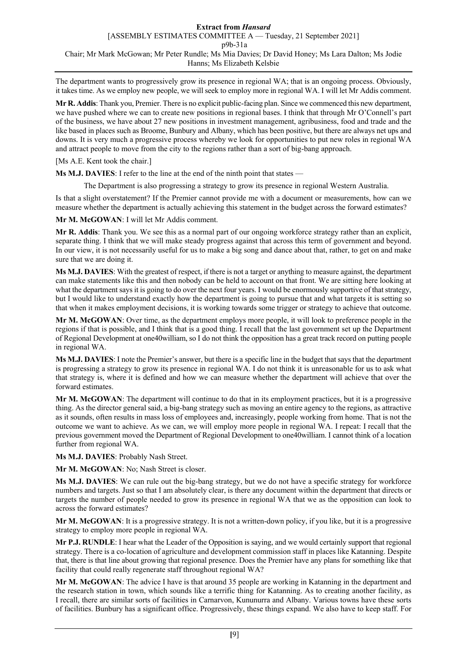The department wants to progressively grow its presence in regional WA; that is an ongoing process. Obviously, it takes time. As we employ new people, we will seek to employ more in regional WA. I will let Mr Addis comment.

**Mr R. Addis**: Thank you, Premier. There is no explicit public-facing plan. Since we commenced this new department, we have pushed where we can to create new positions in regional bases. I think that through Mr O'Connell's part of the business, we have about 27 new positions in investment management, agribusiness, food and trade and the like based in places such as Broome, Bunbury and Albany, which has been positive, but there are always net ups and downs. It is very much a progressive process whereby we look for opportunities to put new roles in regional WA and attract people to move from the city to the regions rather than a sort of big-bang approach.

[Ms A.E. Kent took the chair.]

**Ms M.J. DAVIES**: I refer to the line at the end of the ninth point that states —

The Department is also progressing a strategy to grow its presence in regional Western Australia.

Is that a slight overstatement? If the Premier cannot provide me with a document or measurements, how can we measure whether the department is actually achieving this statement in the budget across the forward estimates?

**Mr M. McGOWAN**: I will let Mr Addis comment.

**Mr R. Addis**: Thank you. We see this as a normal part of our ongoing workforce strategy rather than an explicit, separate thing. I think that we will make steady progress against that across this term of government and beyond. In our view, it is not necessarily useful for us to make a big song and dance about that, rather, to get on and make sure that we are doing it.

**Ms M.J. DAVIES**: With the greatest of respect, if there is not a target or anything to measure against, the department can make statements like this and then nobody can be held to account on that front. We are sitting here looking at what the department says it is going to do over the next four years. I would be enormously supportive of that strategy, but I would like to understand exactly how the department is going to pursue that and what targets it is setting so that when it makes employment decisions, it is working towards some trigger or strategy to achieve that outcome.

**Mr M. McGOWAN**: Over time, as the department employs more people, it will look to preference people in the regions if that is possible, and I think that is a good thing. I recall that the last government set up the Department of Regional Development at one40william, so I do not think the opposition has a great track record on putting people in regional WA.

**Ms M.J. DAVIES**: I note the Premier's answer, but there is a specific line in the budget that says that the department is progressing a strategy to grow its presence in regional WA. I do not think it is unreasonable for us to ask what that strategy is, where it is defined and how we can measure whether the department will achieve that over the forward estimates.

**Mr M. McGOWAN**: The department will continue to do that in its employment practices, but it is a progressive thing. As the director general said, a big-bang strategy such as moving an entire agency to the regions, as attractive as it sounds, often results in mass loss of employees and, increasingly, people working from home. That is not the outcome we want to achieve. As we can, we will employ more people in regional WA. I repeat: I recall that the previous government moved the Department of Regional Development to one40william. I cannot think of a location further from regional WA.

**Ms M.J. DAVIES**: Probably Nash Street.

**Mr M. McGOWAN**: No; Nash Street is closer.

**Ms M.J. DAVIES**: We can rule out the big-bang strategy, but we do not have a specific strategy for workforce numbers and targets. Just so that I am absolutely clear, is there any document within the department that directs or targets the number of people needed to grow its presence in regional WA that we as the opposition can look to across the forward estimates?

**Mr M. McGOWAN**: It is a progressive strategy. It is not a written-down policy, if you like, but it is a progressive strategy to employ more people in regional WA.

**Mr P.J. RUNDLE**: I hear what the Leader of the Opposition is saying, and we would certainly support that regional strategy. There is a co-location of agriculture and development commission staff in places like Katanning. Despite that, there is that line about growing that regional presence. Does the Premier have any plans for something like that facility that could really regenerate staff throughout regional WA?

**Mr M. McGOWAN**: The advice I have is that around 35 people are working in Katanning in the department and the research station in town, which sounds like a terrific thing for Katanning. As to creating another facility, as I recall, there are similar sorts of facilities in Carnarvon, Kununurra and Albany. Various towns have these sorts of facilities. Bunbury has a significant office. Progressively, these things expand. We also have to keep staff. For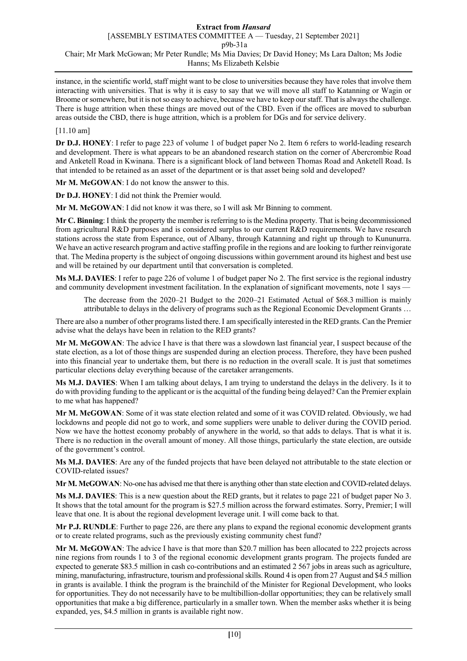instance, in the scientific world, staff might want to be close to universities because they have roles that involve them interacting with universities. That is why it is easy to say that we will move all staff to Katanning or Wagin or Broome or somewhere, but it is not so easy to achieve, because we have to keep our staff. That is always the challenge. There is huge attrition when these things are moved out of the CBD. Even if the offices are moved to suburban areas outside the CBD, there is huge attrition, which is a problem for DGs and for service delivery.

#### [11.10 am]

**Dr D.J. HONEY**: I refer to page 223 of volume 1 of budget paper No 2. Item 6 refers to world-leading research and development. There is what appears to be an abandoned research station on the corner of Abercrombie Road and Anketell Road in Kwinana. There is a significant block of land between Thomas Road and Anketell Road. Is that intended to be retained as an asset of the department or is that asset being sold and developed?

**Mr M. McGOWAN**: I do not know the answer to this.

**Dr D.J. HONEY**: I did not think the Premier would.

**Mr M. McGOWAN**: I did not know it was there, so I will ask Mr Binning to comment.

**Mr C. Binning**: I think the property the member is referring to is the Medina property. That is being decommissioned from agricultural R&D purposes and is considered surplus to our current R&D requirements. We have research stations across the state from Esperance, out of Albany, through Katanning and right up through to Kununurra. We have an active research program and active staffing profile in the regions and are looking to further reinvigorate that. The Medina property is the subject of ongoing discussions within government around its highest and best use and will be retained by our department until that conversation is completed.

**Ms M.J. DAVIES**: I refer to page 226 of volume 1 of budget paper No 2. The first service is the regional industry and community development investment facilitation. In the explanation of significant movements, note 1 says —

The decrease from the 2020–21 Budget to the 2020–21 Estimated Actual of \$68.3 million is mainly attributable to delays in the delivery of programs such as the Regional Economic Development Grants …

There are also a number of other programs listed there. I am specifically interested in the RED grants. Can the Premier advise what the delays have been in relation to the RED grants?

**Mr M. McGOWAN**: The advice I have is that there was a slowdown last financial year, I suspect because of the state election, as a lot of those things are suspended during an election process. Therefore, they have been pushed into this financial year to undertake them, but there is no reduction in the overall scale. It is just that sometimes particular elections delay everything because of the caretaker arrangements.

**Ms M.J. DAVIES**: When I am talking about delays, I am trying to understand the delays in the delivery. Is it to do with providing funding to the applicant or is the acquittal of the funding being delayed? Can the Premier explain to me what has happened?

**Mr M. McGOWAN**: Some of it was state election related and some of it was COVID related. Obviously, we had lockdowns and people did not go to work, and some suppliers were unable to deliver during the COVID period. Now we have the hottest economy probably of anywhere in the world, so that adds to delays. That is what it is. There is no reduction in the overall amount of money. All those things, particularly the state election, are outside of the government's control.

**Ms M.J. DAVIES**: Are any of the funded projects that have been delayed not attributable to the state election or COVID-related issues?

**Mr M. McGOWAN**: No-one has advised me that there is anything other than state election and COVID-related delays.

**Ms M.J. DAVIES**: This is a new question about the RED grants, but it relates to page 221 of budget paper No 3. It shows that the total amount for the program is \$27.5 million across the forward estimates. Sorry, Premier; I will leave that one. It is about the regional development leverage unit. I will come back to that.

**Mr P.J. RUNDLE**: Further to page 226, are there any plans to expand the regional economic development grants or to create related programs, such as the previously existing community chest fund?

**Mr M. McGOWAN**: The advice I have is that more than \$20.7 million has been allocated to 222 projects across nine regions from rounds 1 to 3 of the regional economic development grants program. The projects funded are expected to generate \$83.5 million in cash co-contributions and an estimated 2 567 jobs in areas such as agriculture, mining, manufacturing, infrastructure, tourism and professional skills. Round 4 is open from 27 August and \$4.5 million in grants is available. I think the program is the brainchild of the Minister for Regional Development, who looks for opportunities. They do not necessarily have to be multibillion-dollar opportunities; they can be relatively small opportunities that make a big difference, particularly in a smaller town. When the member asks whether it is being expanded, yes, \$4.5 million in grants is available right now.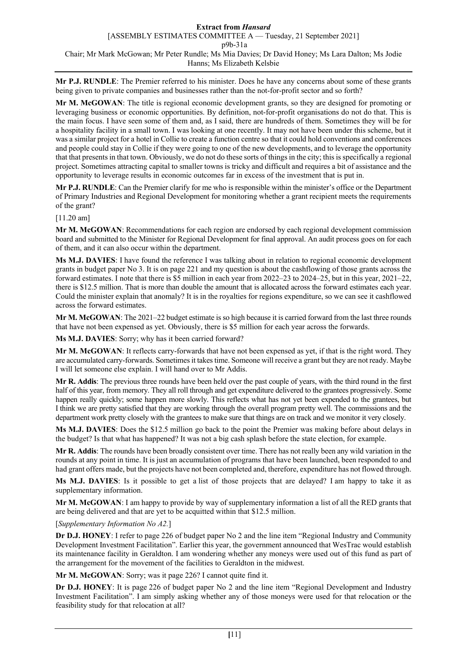**Mr P.J. RUNDLE**: The Premier referred to his minister. Does he have any concerns about some of these grants being given to private companies and businesses rather than the not-for-profit sector and so forth?

**Mr M. McGOWAN**: The title is regional economic development grants, so they are designed for promoting or leveraging business or economic opportunities. By definition, not-for-profit organisations do not do that. This is the main focus. I have seen some of them and, as I said, there are hundreds of them. Sometimes they will be for a hospitality facility in a small town. I was looking at one recently. It may not have been under this scheme, but it was a similar project for a hotel in Collie to create a function centre so that it could hold conventions and conferences and people could stay in Collie if they were going to one of the new developments, and to leverage the opportunity that that presents in that town. Obviously, we do not do these sorts of things in the city; this is specifically a regional project. Sometimes attracting capital to smaller towns is tricky and difficult and requires a bit of assistance and the opportunity to leverage results in economic outcomes far in excess of the investment that is put in.

**Mr P.J. RUNDLE**: Can the Premier clarify for me who is responsible within the minister's office or the Department of Primary Industries and Regional Development for monitoring whether a grant recipient meets the requirements of the grant?

[11.20 am]

**Mr M. McGOWAN**: Recommendations for each region are endorsed by each regional development commission board and submitted to the Minister for Regional Development for final approval. An audit process goes on for each of them, and it can also occur within the department.

**Ms M.J. DAVIES**: I have found the reference I was talking about in relation to regional economic development grants in budget paper No 3. It is on page 221 and my question is about the cashflowing of those grants across the forward estimates. I note that there is \$5 million in each year from 2022–23 to 2024–25, but in this year, 2021–22, there is \$12.5 million. That is more than double the amount that is allocated across the forward estimates each year. Could the minister explain that anomaly? It is in the royalties for regions expenditure, so we can see it cashflowed across the forward estimates.

**Mr M. McGOWAN**: The 2021–22 budget estimate is so high because it is carried forward from the last three rounds that have not been expensed as yet. Obviously, there is \$5 million for each year across the forwards.

**Ms M.J. DAVIES**: Sorry; why has it been carried forward?

**Mr M. McGOWAN**: It reflects carry-forwards that have not been expensed as yet, if that is the right word. They are accumulated carry-forwards. Sometimes it takes time. Someone will receive a grant but they are not ready. Maybe I will let someone else explain. I will hand over to Mr Addis.

**Mr R. Addis**: The previous three rounds have been held over the past couple of years, with the third round in the first half of this year, from memory. They all roll through and get expenditure delivered to the grantees progressively. Some happen really quickly; some happen more slowly. This reflects what has not yet been expended to the grantees, but I think we are pretty satisfied that they are working through the overall program pretty well. The commissions and the department work pretty closely with the grantees to make sure that things are on track and we monitor it very closely.

**Ms M.J. DAVIES**: Does the \$12.5 million go back to the point the Premier was making before about delays in the budget? Is that what has happened? It was not a big cash splash before the state election, for example.

**Mr R. Addis**: The rounds have been broadly consistent over time. There has not really been any wild variation in the rounds at any point in time. It is just an accumulation of programs that have been launched, been responded to and had grant offers made, but the projects have not been completed and, therefore, expenditure has not flowed through.

**Ms M.J. DAVIES**: Is it possible to get a list of those projects that are delayed? I am happy to take it as supplementary information.

**Mr M. McGOWAN**: I am happy to provide by way of supplementary information a list of all the RED grants that are being delivered and that are yet to be acquitted within that \$12.5 million.

## [*Supplementary Information No A2.*]

**Dr D.J. HONEY**: I refer to page 226 of budget paper No 2 and the line item "Regional Industry and Community Development Investment Facilitation". Earlier this year, the government announced that WesTrac would establish its maintenance facility in Geraldton. I am wondering whether any moneys were used out of this fund as part of the arrangement for the movement of the facilities to Geraldton in the midwest.

**Mr M. McGOWAN**: Sorry; was it page 226? I cannot quite find it.

**Dr D.J. HONEY**: It is page 226 of budget paper No 2 and the line item "Regional Development and Industry Investment Facilitation". I am simply asking whether any of those moneys were used for that relocation or the feasibility study for that relocation at all?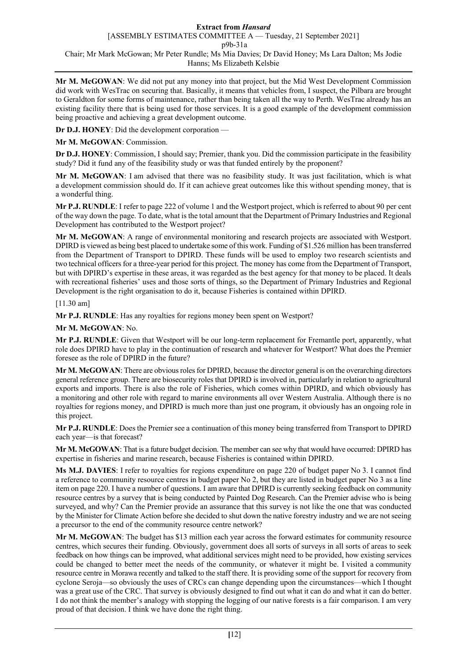**Mr M. McGOWAN**: We did not put any money into that project, but the Mid West Development Commission did work with WesTrac on securing that. Basically, it means that vehicles from, I suspect, the Pilbara are brought to Geraldton for some forms of maintenance, rather than being taken all the way to Perth. WesTrac already has an existing facility there that is being used for those services. It is a good example of the development commission being proactive and achieving a great development outcome.

**Dr D.J. HONEY:** Did the development corporation —

**Mr M. McGOWAN**: Commission.

**Dr D.J. HONEY**: Commission, I should say; Premier, thank you. Did the commission participate in the feasibility study? Did it fund any of the feasibility study or was that funded entirely by the proponent?

**Mr M. McGOWAN**: I am advised that there was no feasibility study. It was just facilitation, which is what a development commission should do. If it can achieve great outcomes like this without spending money, that is a wonderful thing.

**Mr P.J. RUNDLE**: I refer to page 222 of volume 1 and the Westport project, which is referred to about 90 per cent of the way down the page. To date, what is the total amount that the Department of Primary Industries and Regional Development has contributed to the Westport project?

**Mr M. McGOWAN**: A range of environmental monitoring and research projects are associated with Westport. DPIRD is viewed as being best placed to undertake some of this work. Funding of \$1.526 million has been transferred from the Department of Transport to DPIRD. These funds will be used to employ two research scientists and two technical officers for a three-year period for this project. The money has come from the Department of Transport, but with DPIRD's expertise in these areas, it was regarded as the best agency for that money to be placed. It deals with recreational fisheries' uses and those sorts of things, so the Department of Primary Industries and Regional Development is the right organisation to do it, because Fisheries is contained within DPIRD.

[11.30 am]

**Mr P.J. RUNDLE**: Has any royalties for regions money been spent on Westport?

**Mr M. McGOWAN**: No.

**Mr P.J. RUNDLE**: Given that Westport will be our long-term replacement for Fremantle port, apparently, what role does DPIRD have to play in the continuation of research and whatever for Westport? What does the Premier foresee as the role of DPIRD in the future?

**Mr M. McGOWAN**: There are obvious roles for DPIRD, because the director general is on the overarching directors general reference group. There are biosecurity roles that DPIRD is involved in, particularly in relation to agricultural exports and imports. There is also the role of Fisheries, which comes within DPIRD, and which obviously has a monitoring and other role with regard to marine environments all over Western Australia. Although there is no royalties for regions money, and DPIRD is much more than just one program, it obviously has an ongoing role in this project.

**Mr P.J. RUNDLE**: Does the Premier see a continuation of this money being transferred from Transport to DPIRD each year—is that forecast?

**Mr M. McGOWAN**: That is a future budget decision. The member can see why that would have occurred: DPIRD has expertise in fisheries and marine research, because Fisheries is contained within DPIRD.

**Ms M.J. DAVIES**: I refer to royalties for regions expenditure on page 220 of budget paper No 3. I cannot find a reference to community resource centres in budget paper No 2, but they are listed in budget paper No 3 as a line item on page 220. I have a number of questions. I am aware that DPIRD is currently seeking feedback on community resource centres by a survey that is being conducted by Painted Dog Research. Can the Premier advise who is being surveyed, and why? Can the Premier provide an assurance that this survey is not like the one that was conducted by the Minister for Climate Action before she decided to shut down the native forestry industry and we are not seeing a precursor to the end of the community resource centre network?

**Mr M. McGOWAN**: The budget has \$13 million each year across the forward estimates for community resource centres, which secures their funding. Obviously, government does all sorts of surveys in all sorts of areas to seek feedback on how things can be improved, what additional services might need to be provided, how existing services could be changed to better meet the needs of the community, or whatever it might be. I visited a community resource centre in Morawa recently and talked to the staff there. It is providing some of the support for recovery from cyclone Seroja—so obviously the uses of CRCs can change depending upon the circumstances—which I thought was a great use of the CRC. That survey is obviously designed to find out what it can do and what it can do better. I do not think the member's analogy with stopping the logging of our native forests is a fair comparison. I am very proud of that decision. I think we have done the right thing.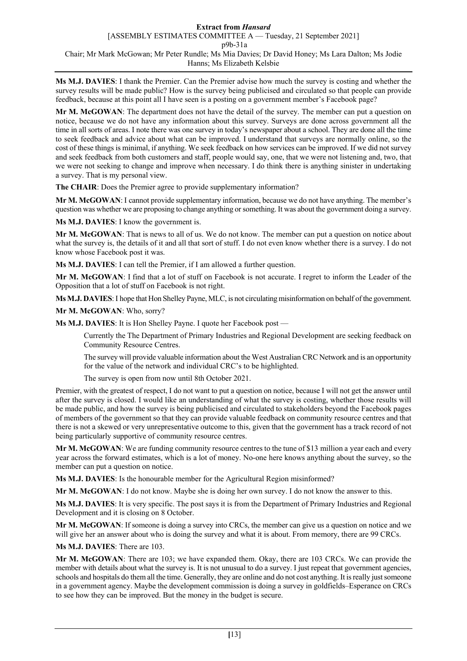**Ms M.J. DAVIES**: I thank the Premier. Can the Premier advise how much the survey is costing and whether the survey results will be made public? How is the survey being publicised and circulated so that people can provide feedback, because at this point all I have seen is a posting on a government member's Facebook page?

**Mr M. McGOWAN**: The department does not have the detail of the survey. The member can put a question on notice, because we do not have any information about this survey. Surveys are done across government all the time in all sorts of areas. I note there was one survey in today's newspaper about a school. They are done all the time to seek feedback and advice about what can be improved. I understand that surveys are normally online, so the cost of these things is minimal, if anything. We seek feedback on how services can be improved. If we did not survey and seek feedback from both customers and staff, people would say, one, that we were not listening and, two, that we were not seeking to change and improve when necessary. I do think there is anything sinister in undertaking a survey. That is my personal view.

**The CHAIR**: Does the Premier agree to provide supplementary information?

**Mr M. McGOWAN**: I cannot provide supplementary information, because we do not have anything. The member's question was whether we are proposing to change anything or something. It was about the government doing a survey.

**Ms M.J. DAVIES**: I know the government is.

**Mr M. McGOWAN**: That is news to all of us. We do not know. The member can put a question on notice about what the survey is, the details of it and all that sort of stuff. I do not even know whether there is a survey. I do not know whose Facebook post it was.

**Ms M.J. DAVIES**: I can tell the Premier, if I am allowed a further question.

**Mr M. McGOWAN**: I find that a lot of stuff on Facebook is not accurate. I regret to inform the Leader of the Opposition that a lot of stuff on Facebook is not right.

**Ms M.J. DAVIES**:I hope that Hon Shelley Payne, MLC, is not circulating misinformation on behalf of the government.

**Mr M. McGOWAN**: Who, sorry?

**Ms M.J. DAVIES**: It is Hon Shelley Payne. I quote her Facebook post —

Currently the The Department of Primary Industries and Regional Development are seeking feedback on Community Resource Centres.

The survey will provide valuable information about the West Australian CRC Network and is an opportunity for the value of the network and individual CRC's to be highlighted.

The survey is open from now until 8th October 2021.

Premier, with the greatest of respect, I do not want to put a question on notice, because I will not get the answer until after the survey is closed. I would like an understanding of what the survey is costing, whether those results will be made public, and how the survey is being publicised and circulated to stakeholders beyond the Facebook pages of members of the government so that they can provide valuable feedback on community resource centres and that there is not a skewed or very unrepresentative outcome to this, given that the government has a track record of not being particularly supportive of community resource centres.

**Mr M. McGOWAN**: We are funding community resource centres to the tune of \$13 million a year each and every year across the forward estimates, which is a lot of money. No-one here knows anything about the survey, so the member can put a question on notice.

**Ms M.J. DAVIES**: Is the honourable member for the Agricultural Region misinformed?

**Mr M. McGOWAN**: I do not know. Maybe she is doing her own survey. I do not know the answer to this.

**Ms M.J. DAVIES**: It is very specific. The post says it is from the Department of Primary Industries and Regional Development and it is closing on 8 October.

**Mr M. McGOWAN**: If someone is doing a survey into CRCs, the member can give us a question on notice and we will give her an answer about who is doing the survey and what it is about. From memory, there are 99 CRCs.

**Ms M.J. DAVIES**: There are 103.

**Mr M. McGOWAN**: There are 103; we have expanded them. Okay, there are 103 CRCs. We can provide the member with details about what the survey is. It is not unusual to do a survey. I just repeat that government agencies, schools and hospitals do them all the time. Generally, they are online and do not cost anything. It is really just someone in a government agency. Maybe the development commission is doing a survey in goldfields–Esperance on CRCs to see how they can be improved. But the money in the budget is secure.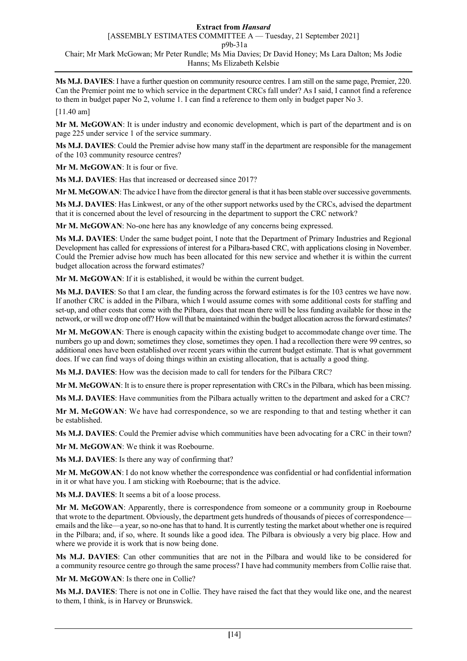**Ms M.J. DAVIES**: I have a further question on community resource centres. I am still on the same page, Premier, 220. Can the Premier point me to which service in the department CRCs fall under? As I said, I cannot find a reference to them in budget paper No 2, volume 1. I can find a reference to them only in budget paper No 3.

[11.40 am]

**Mr M. McGOWAN**: It is under industry and economic development, which is part of the department and is on page 225 under service 1 of the service summary.

**Ms M.J. DAVIES**: Could the Premier advise how many staff in the department are responsible for the management of the 103 community resource centres?

**Mr M. McGOWAN**: It is four or five.

**Ms M.J. DAVIES**: Has that increased or decreased since 2017?

**Mr M. McGOWAN**: The advice I have from the director general is that it has been stable over successive governments.

**Ms M.J. DAVIES**: Has Linkwest, or any of the other support networks used by the CRCs, advised the department that it is concerned about the level of resourcing in the department to support the CRC network?

**Mr M. McGOWAN**: No-one here has any knowledge of any concerns being expressed.

**Ms M.J. DAVIES**: Under the same budget point, I note that the Department of Primary Industries and Regional Development has called for expressions of interest for a Pilbara-based CRC, with applications closing in November. Could the Premier advise how much has been allocated for this new service and whether it is within the current budget allocation across the forward estimates?

**Mr M. McGOWAN**: If it is established, it would be within the current budget.

**Ms M.J. DAVIES**: So that I am clear, the funding across the forward estimates is for the 103 centres we have now. If another CRC is added in the Pilbara, which I would assume comes with some additional costs for staffing and set-up, and other costs that come with the Pilbara, does that mean there will be less funding available for those in the network, or will we drop one off? How will that be maintained within the budget allocation across the forward estimates?

**Mr M. McGOWAN**: There is enough capacity within the existing budget to accommodate change over time. The numbers go up and down; sometimes they close, sometimes they open. I had a recollection there were 99 centres, so additional ones have been established over recent years within the current budget estimate. That is what government does. If we can find ways of doing things within an existing allocation, that is actually a good thing.

**Ms M.J. DAVIES**: How was the decision made to call for tenders for the Pilbara CRC?

**Mr M. McGOWAN**: It is to ensure there is proper representation with CRCs in the Pilbara, which has been missing.

**Ms M.J. DAVIES**: Have communities from the Pilbara actually written to the department and asked for a CRC?

**Mr M. McGOWAN**: We have had correspondence, so we are responding to that and testing whether it can be established.

**Ms M.J. DAVIES**: Could the Premier advise which communities have been advocating for a CRC in their town?

**Mr M. McGOWAN**: We think it was Roebourne.

**Ms M.J. DAVIES**: Is there any way of confirming that?

**Mr M. McGOWAN**: I do not know whether the correspondence was confidential or had confidential information in it or what have you. I am sticking with Roebourne; that is the advice.

**Ms M.J. DAVIES**: It seems a bit of a loose process.

**Mr M. McGOWAN**: Apparently, there is correspondence from someone or a community group in Roebourne that wrote to the department. Obviously, the department gets hundreds of thousands of pieces of correspondence emails and the like—a year, so no-one has that to hand. It is currently testing the market about whether one is required in the Pilbara; and, if so, where. It sounds like a good idea. The Pilbara is obviously a very big place. How and where we provide it is work that is now being done.

**Ms M.J. DAVIES**: Can other communities that are not in the Pilbara and would like to be considered for a community resource centre go through the same process? I have had community members from Collie raise that.

**Mr M. McGOWAN**: Is there one in Collie?

**Ms M.J. DAVIES**: There is not one in Collie. They have raised the fact that they would like one, and the nearest to them, I think, is in Harvey or Brunswick.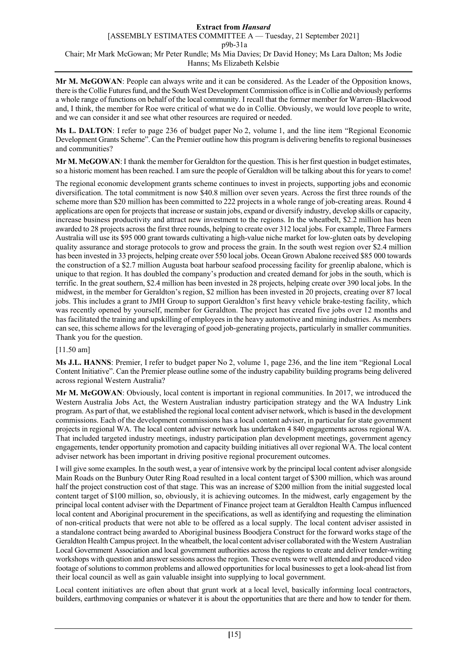**Mr M. McGOWAN**: People can always write and it can be considered. As the Leader of the Opposition knows, there is the Collie Futures fund, and the South West Development Commission office is in Collie and obviously performs a whole range of functions on behalf of the local community. I recall that the former member for Warren–Blackwood and, I think, the member for Roe were critical of what we do in Collie. Obviously, we would love people to write, and we can consider it and see what other resources are required or needed.

**Ms L. DALTON**: I refer to page 236 of budget paper No 2, volume 1, and the line item "Regional Economic Development Grants Scheme". Can the Premier outline how this program is delivering benefits to regional businesses and communities?

**Mr M. McGOWAN**: I thank the member for Geraldton for the question. This is her first question in budget estimates, so a historic moment has been reached. I am sure the people of Geraldton will be talking about this for years to come!

The regional economic development grants scheme continues to invest in projects, supporting jobs and economic diversification. The total commitment is now \$40.8 million over seven years. Across the first three rounds of the scheme more than \$20 million has been committed to 222 projects in a whole range of job-creating areas. Round 4 applications are open for projects that increase or sustain jobs, expand or diversify industry, develop skills or capacity, increase business productivity and attract new investment to the regions. In the wheatbelt, \$2.2 million has been awarded to 28 projects across the first three rounds, helping to create over 312 local jobs. For example, Three Farmers Australia will use its \$95 000 grant towards cultivating a high-value niche market for low-gluten oats by developing quality assurance and storage protocols to grow and process the grain. In the south west region over \$2.4 million has been invested in 33 projects, helping create over 550 local jobs. Ocean Grown Abalone received \$85 000 towards the construction of a \$2.7 million Augusta boat harbour seafood processing facility for greenlip abalone, which is unique to that region. It has doubled the company's production and created demand for jobs in the south, which is terrific. In the great southern, \$2.4 million has been invested in 28 projects, helping create over 390 local jobs. In the midwest, in the member for Geraldton's region, \$2 million has been invested in 20 projects, creating over 87 local jobs. This includes a grant to JMH Group to support Geraldton's first heavy vehicle brake-testing facility, which was recently opened by yourself, member for Geraldton. The project has created five jobs over 12 months and has facilitated the training and upskilling of employees in the heavy automotive and mining industries. As members can see, this scheme allows for the leveraging of good job-generating projects, particularly in smaller communities. Thank you for the question.

# [11.50 am]

**Ms J.L. HANNS**: Premier, I refer to budget paper No 2, volume 1, page 236, and the line item "Regional Local Content Initiative". Can the Premier please outline some of the industry capability building programs being delivered across regional Western Australia?

**Mr M. McGOWAN**: Obviously, local content is important in regional communities. In 2017, we introduced the Western Australia Jobs Act, the Western Australian industry participation strategy and the WA Industry Link program. As part of that, we established the regional local content adviser network, which is based in the development commissions. Each of the development commissions has a local content adviser, in particular for state government projects in regional WA. The local content adviser network has undertaken 4 840 engagements across regional WA. That included targeted industry meetings, industry participation plan development meetings, government agency engagements, tender opportunity promotion and capacity building initiatives all over regional WA. The local content adviser network has been important in driving positive regional procurement outcomes.

I will give some examples. In the south west, a year of intensive work by the principal local content adviser alongside Main Roads on the Bunbury Outer Ring Road resulted in a local content target of \$300 million, which was around half the project construction cost of that stage. This was an increase of \$200 million from the initial suggested local content target of \$100 million, so, obviously, it is achieving outcomes. In the midwest, early engagement by the principal local content adviser with the Department of Finance project team at Geraldton Health Campus influenced local content and Aboriginal procurement in the specifications, as well as identifying and requesting the elimination of non-critical products that were not able to be offered as a local supply. The local content adviser assisted in a standalone contract being awarded to Aboriginal business Boodjera Construct for the forward works stage of the Geraldton Health Campus project. In the wheatbelt, the local content adviser collaborated with the Western Australian Local Government Association and local government authorities across the regions to create and deliver tender-writing workshops with question and answer sessions across the region. These events were well attended and produced video footage of solutions to common problems and allowed opportunities for local businesses to get a look-ahead list from their local council as well as gain valuable insight into supplying to local government.

Local content initiatives are often about that grunt work at a local level, basically informing local contractors, builders, earthmoving companies or whatever it is about the opportunities that are there and how to tender for them.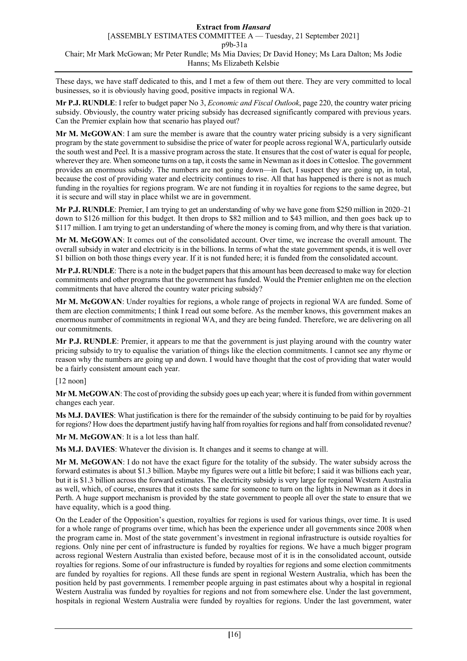These days, we have staff dedicated to this, and I met a few of them out there. They are very committed to local businesses, so it is obviously having good, positive impacts in regional WA.

**Mr P.J. RUNDLE**: I refer to budget paper No 3, *Economic and Fiscal Outlook*, page 220, the country water pricing subsidy. Obviously, the country water pricing subsidy has decreased significantly compared with previous years. Can the Premier explain how that scenario has played out?

**Mr M. McGOWAN**: I am sure the member is aware that the country water pricing subsidy is a very significant program by the state government to subsidise the price of water for people across regional WA, particularly outside the south west and Peel. It is a massive program across the state. It ensures that the cost of water is equal for people, wherever they are. When someone turns on a tap, it costs the same in Newman as it does in Cottesloe. The government provides an enormous subsidy. The numbers are not going down—in fact, I suspect they are going up, in total, because the cost of providing water and electricity continues to rise. All that has happened is there is not as much funding in the royalties for regions program. We are not funding it in royalties for regions to the same degree, but it is secure and will stay in place whilst we are in government.

**Mr P.J. RUNDLE**: Premier, I am trying to get an understanding of why we have gone from \$250 million in 2020–21 down to \$126 million for this budget. It then drops to \$82 million and to \$43 million, and then goes back up to \$117 million. I am trying to get an understanding of where the money is coming from, and why there is that variation.

**Mr M. McGOWAN**: It comes out of the consolidated account. Over time, we increase the overall amount. The overall subsidy in water and electricity is in the billions. In terms of what the state government spends, it is well over \$1 billion on both those things every year. If it is not funded here; it is funded from the consolidated account.

**Mr P.J. RUNDLE**: There is a note in the budget papers that this amount has been decreased to make way for election commitments and other programs that the government has funded. Would the Premier enlighten me on the election commitments that have altered the country water pricing subsidy?

**Mr M. McGOWAN**: Under royalties for regions, a whole range of projects in regional WA are funded. Some of them are election commitments; I think I read out some before. As the member knows, this government makes an enormous number of commitments in regional WA, and they are being funded. Therefore, we are delivering on all our commitments.

**Mr P.J. RUNDLE**: Premier, it appears to me that the government is just playing around with the country water pricing subsidy to try to equalise the variation of things like the election commitments. I cannot see any rhyme or reason why the numbers are going up and down. I would have thought that the cost of providing that water would be a fairly consistent amount each year.

[12 noon]

**Mr M. McGOWAN**: The cost of providing the subsidy goes up each year; where it is funded from within government changes each year.

**Ms M.J. DAVIES**: What justification is there for the remainder of the subsidy continuing to be paid for by royalties for regions? How does the department justify having half from royalties for regions and half from consolidated revenue?

**Mr M. McGOWAN**: It is a lot less than half.

**Ms M.J. DAVIES**: Whatever the division is. It changes and it seems to change at will.

**Mr M. McGOWAN**: I do not have the exact figure for the totality of the subsidy. The water subsidy across the forward estimates is about \$1.3 billion. Maybe my figures were out a little bit before; I said it was billions each year, but it is \$1.3 billion across the forward estimates. The electricity subsidy is very large for regional Western Australia as well, which, of course, ensures that it costs the same for someone to turn on the lights in Newman as it does in Perth. A huge support mechanism is provided by the state government to people all over the state to ensure that we have equality, which is a good thing.

On the Leader of the Opposition's question, royalties for regions is used for various things, over time. It is used for a whole range of programs over time, which has been the experience under all governments since 2008 when the program came in. Most of the state government's investment in regional infrastructure is outside royalties for regions. Only nine per cent of infrastructure is funded by royalties for regions. We have a much bigger program across regional Western Australia than existed before, because most of it is in the consolidated account, outside royalties for regions. Some of our infrastructure is funded by royalties for regions and some election commitments are funded by royalties for regions. All these funds are spent in regional Western Australia, which has been the position held by past governments. I remember people arguing in past estimates about why a hospital in regional Western Australia was funded by royalties for regions and not from somewhere else. Under the last government, hospitals in regional Western Australia were funded by royalties for regions. Under the last government, water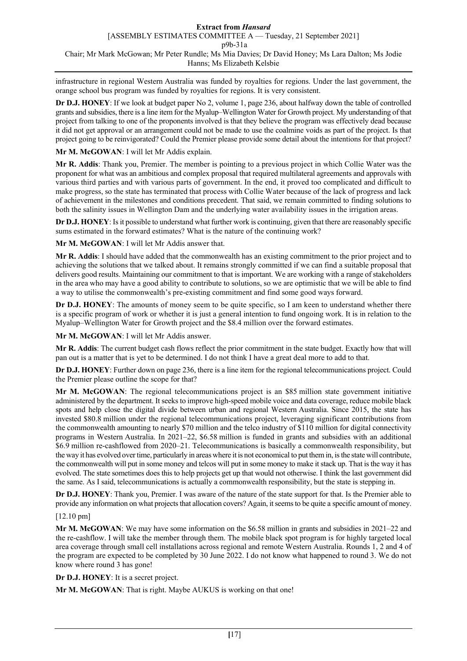infrastructure in regional Western Australia was funded by royalties for regions. Under the last government, the orange school bus program was funded by royalties for regions. It is very consistent.

**Dr D.J. HONEY**: If we look at budget paper No 2, volume 1, page 236, about halfway down the table of controlled grants and subsidies, there is a line item for the Myalup–Wellington Water for Growth project. My understanding of that project from talking to one of the proponents involved is that they believe the program was effectively dead because it did not get approval or an arrangement could not be made to use the coalmine voids as part of the project. Is that project going to be reinvigorated? Could the Premier please provide some detail about the intentions for that project?

## **Mr M. McGOWAN**: I will let Mr Addis explain.

**Mr R. Addis**: Thank you, Premier. The member is pointing to a previous project in which Collie Water was the proponent for what was an ambitious and complex proposal that required multilateral agreements and approvals with various third parties and with various parts of government. In the end, it proved too complicated and difficult to make progress, so the state has terminated that process with Collie Water because of the lack of progress and lack of achievement in the milestones and conditions precedent. That said, we remain committed to finding solutions to both the salinity issues in Wellington Dam and the underlying water availability issues in the irrigation areas.

**Dr D.J. HONEY**: Is it possible to understand what further work is continuing, given that there are reasonably specific sums estimated in the forward estimates? What is the nature of the continuing work?

**Mr M. McGOWAN**: I will let Mr Addis answer that.

**Mr R. Addis**: I should have added that the commonwealth has an existing commitment to the prior project and to achieving the solutions that we talked about. It remains strongly committed if we can find a suitable proposal that delivers good results. Maintaining our commitment to that is important. We are working with a range of stakeholders in the area who may have a good ability to contribute to solutions, so we are optimistic that we will be able to find a way to utilise the commonwealth's pre-existing commitment and find some good ways forward.

**Dr D.J. HONEY**: The amounts of money seem to be quite specific, so I am keen to understand whether there is a specific program of work or whether it is just a general intention to fund ongoing work. It is in relation to the Myalup–Wellington Water for Growth project and the \$8.4 million over the forward estimates.

**Mr M. McGOWAN**: I will let Mr Addis answer.

**Mr R. Addis**: The current budget cash flows reflect the prior commitment in the state budget. Exactly how that will pan out is a matter that is yet to be determined. I do not think I have a great deal more to add to that.

**Dr D.J. HONEY**: Further down on page 236, there is a line item for the regional telecommunications project. Could the Premier please outline the scope for that?

**Mr M. McGOWAN**: The regional telecommunications project is an \$85 million state government initiative administered by the department. It seeks to improve high-speed mobile voice and data coverage, reduce mobile black spots and help close the digital divide between urban and regional Western Australia. Since 2015, the state has invested \$80.8 million under the regional telecommunications project, leveraging significant contributions from the commonwealth amounting to nearly \$70 million and the telco industry of \$110 million for digital connectivity programs in Western Australia. In 2021–22, \$6.58 million is funded in grants and subsidies with an additional \$6.9 million re-cashflowed from 2020–21. Telecommunications is basically a commonwealth responsibility, but the way it has evolved over time, particularly in areas where it is not economical to put them in, is the state will contribute, the commonwealth will put in some money and telcos will put in some money to make it stack up. That is the way it has evolved. The state sometimes does this to help projects get up that would not otherwise. I think the last government did the same. As I said, telecommunications is actually a commonwealth responsibility, but the state is stepping in.

**Dr D.J. HONEY**: Thank you, Premier. I was aware of the nature of the state support for that. Is the Premier able to provide any information on what projects that allocation covers? Again, it seems to be quite a specific amount of money.

## [12.10 pm]

**Mr M. McGOWAN**: We may have some information on the \$6.58 million in grants and subsidies in 2021–22 and the re-cashflow. I will take the member through them. The mobile black spot program is for highly targeted local area coverage through small cell installations across regional and remote Western Australia. Rounds 1, 2 and 4 of the program are expected to be completed by 30 June 2022. I do not know what happened to round 3. We do not know where round 3 has gone!

**Dr D.J. HONEY**: It is a secret project.

**Mr M. McGOWAN**: That is right. Maybe AUKUS is working on that one!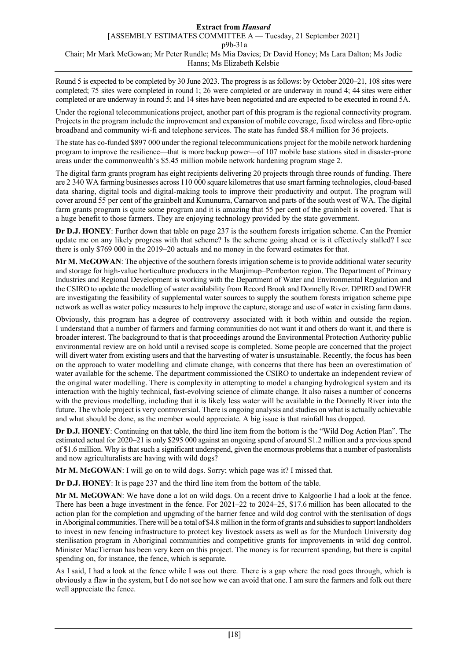Round 5 is expected to be completed by 30 June 2023. The progress is as follows: by October 2020–21, 108 sites were completed; 75 sites were completed in round 1; 26 were completed or are underway in round 4; 44 sites were either completed or are underway in round 5; and 14 sites have been negotiated and are expected to be executed in round 5A.

Under the regional telecommunications project, another part of this program is the regional connectivity program. Projects in the program include the improvement and expansion of mobile coverage, fixed wireless and fibre-optic broadband and community wi-fi and telephone services. The state has funded \$8.4 million for 36 projects.

The state has co-funded \$897 000 under the regional telecommunications project for the mobile network hardening program to improve the resilience—that is more backup power—of 107 mobile base stations sited in disaster-prone areas under the commonwealth's \$5.45 million mobile network hardening program stage 2.

The digital farm grants program has eight recipients delivering 20 projects through three rounds of funding. There are 2 340 WA farming businesses across 110 000 square kilometres that use smart farming technologies, cloud-based data sharing, digital tools and digital-making tools to improve their productivity and output. The program will cover around 55 per cent of the grainbelt and Kununurra, Carnarvon and parts of the south west of WA. The digital farm grants program is quite some program and it is amazing that 55 per cent of the grainbelt is covered. That is a huge benefit to those farmers. They are enjoying technology provided by the state government.

**Dr D.J. HONEY**: Further down that table on page 237 is the southern forests irrigation scheme. Can the Premier update me on any likely progress with that scheme? Is the scheme going ahead or is it effectively stalled? I see there is only \$769 000 in the 2019–20 actuals and no money in the forward estimates for that.

**Mr M. McGOWAN**: The objective of the southern forests irrigation scheme is to provide additional water security and storage for high-value horticulture producers in the Manjimup–Pemberton region. The Department of Primary Industries and Regional Development is working with the Department of Water and Environmental Regulation and the CSIRO to update the modelling of water availability from Record Brook and Donnelly River. DPIRD and DWER are investigating the feasibility of supplemental water sources to supply the southern forests irrigation scheme pipe network as well as water policy measures to help improve the capture, storage and use of water in existing farm dams.

Obviously, this program has a degree of controversy associated with it both within and outside the region. I understand that a number of farmers and farming communities do not want it and others do want it, and there is broader interest. The background to that is that proceedings around the Environmental Protection Authority public environmental review are on hold until a revised scope is completed. Some people are concerned that the project will divert water from existing users and that the harvesting of water is unsustainable. Recently, the focus has been on the approach to water modelling and climate change, with concerns that there has been an overestimation of water available for the scheme. The department commissioned the CSIRO to undertake an independent review of the original water modelling. There is complexity in attempting to model a changing hydrological system and its interaction with the highly technical, fast-evolving science of climate change. It also raises a number of concerns with the previous modelling, including that it is likely less water will be available in the Donnelly River into the future. The whole project is very controversial. There is ongoing analysis and studies on what is actually achievable and what should be done, as the member would appreciate. A big issue is that rainfall has dropped.

**Dr D.J. HONEY**: Continuing on that table, the third line item from the bottom is the "Wild Dog Action Plan". The estimated actual for 2020–21 is only \$295 000 against an ongoing spend of around \$1.2 million and a previous spend of \$1.6 million. Why is that such a significant underspend, given the enormous problems that a number of pastoralists and now agriculturalists are having with wild dogs?

**Mr M. McGOWAN**: I will go on to wild dogs. Sorry; which page was it? I missed that.

**Dr D.J. HONEY**: It is page 237 and the third line item from the bottom of the table.

**Mr M. McGOWAN**: We have done a lot on wild dogs. On a recent drive to Kalgoorlie I had a look at the fence. There has been a huge investment in the fence. For 2021–22 to 2024–25, \$17.6 million has been allocated to the action plan for the completion and upgrading of the barrier fence and wild dog control with the sterilisation of dogs in Aboriginal communities. There will be a total of \$4.8 million in the form of grants and subsidies to support landholders to invest in new fencing infrastructure to protect key livestock assets as well as for the Murdoch University dog sterilisation program in Aboriginal communities and competitive grants for improvements in wild dog control. Minister MacTiernan has been very keen on this project. The money is for recurrent spending, but there is capital spending on, for instance, the fence, which is separate.

As I said, I had a look at the fence while I was out there. There is a gap where the road goes through, which is obviously a flaw in the system, but I do not see how we can avoid that one. I am sure the farmers and folk out there well appreciate the fence.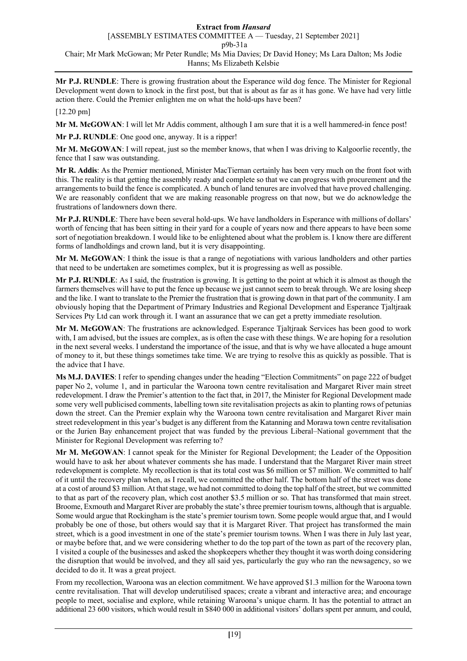**Mr P.J. RUNDLE**: There is growing frustration about the Esperance wild dog fence. The Minister for Regional Development went down to knock in the first post, but that is about as far as it has gone. We have had very little action there. Could the Premier enlighten me on what the hold-ups have been?

# [12.20 pm]

**Mr M. McGOWAN**: I will let Mr Addis comment, although I am sure that it is a well hammered-in fence post!

**Mr P.J. RUNDLE**: One good one, anyway. It is a ripper!

**Mr M. McGOWAN**: I will repeat, just so the member knows, that when I was driving to Kalgoorlie recently, the fence that I saw was outstanding.

**Mr R. Addis**: As the Premier mentioned, Minister MacTiernan certainly has been very much on the front foot with this. The reality is that getting the assembly ready and complete so that we can progress with procurement and the arrangements to build the fence is complicated. A bunch of land tenures are involved that have proved challenging. We are reasonably confident that we are making reasonable progress on that now, but we do acknowledge the frustrations of landowners down there.

**Mr P.J. RUNDLE**: There have been several hold-ups. We have landholders in Esperance with millions of dollars' worth of fencing that has been sitting in their yard for a couple of years now and there appears to have been some sort of negotiation breakdown. I would like to be enlightened about what the problem is. I know there are different forms of landholdings and crown land, but it is very disappointing.

**Mr M. McGOWAN**: I think the issue is that a range of negotiations with various landholders and other parties that need to be undertaken are sometimes complex, but it is progressing as well as possible.

**Mr P.J. RUNDLE**: As I said, the frustration is growing. It is getting to the point at which it is almost as though the farmers themselves will have to put the fence up because we just cannot seem to break through. We are losing sheep and the like. I want to translate to the Premier the frustration that is growing down in that part of the community. I am obviously hoping that the Department of Primary Industries and Regional Development and Esperance Tjaltjraak Services Pty Ltd can work through it. I want an assurance that we can get a pretty immediate resolution.

**Mr M. McGOWAN**: The frustrations are acknowledged. Esperance Tjaltjraak Services has been good to work with, I am advised, but the issues are complex, as is often the case with these things. We are hoping for a resolution in the next several weeks. I understand the importance of the issue, and that is why we have allocated a huge amount of money to it, but these things sometimes take time. We are trying to resolve this as quickly as possible. That is the advice that I have.

**Ms M.J. DAVIES**: I refer to spending changes under the heading "Election Commitments" on page 222 of budget paper No 2, volume 1, and in particular the Waroona town centre revitalisation and Margaret River main street redevelopment. I draw the Premier's attention to the fact that, in 2017, the Minister for Regional Development made some very well publicised comments, labelling town site revitalisation projects as akin to planting rows of petunias down the street. Can the Premier explain why the Waroona town centre revitalisation and Margaret River main street redevelopment in this year's budget is any different from the Katanning and Morawa town centre revitalisation or the Jurien Bay enhancement project that was funded by the previous Liberal–National government that the Minister for Regional Development was referring to?

**Mr M. McGOWAN**: I cannot speak for the Minister for Regional Development; the Leader of the Opposition would have to ask her about whatever comments she has made. I understand that the Margaret River main street redevelopment is complete. My recollection is that its total cost was \$6 million or \$7 million. We committed to half of it until the recovery plan when, as I recall, we committed the other half. The bottom half of the street was done at a cost of around \$3 million. At that stage, we had not committed to doing the top half of the street, but we committed to that as part of the recovery plan, which cost another \$3.5 million or so. That has transformed that main street. Broome, Exmouth and Margaret River are probably the state's three premier tourism towns, although that is arguable. Some would argue that Rockingham is the state's premier tourism town. Some people would argue that, and I would probably be one of those, but others would say that it is Margaret River. That project has transformed the main street, which is a good investment in one of the state's premier tourism towns. When I was there in July last year, or maybe before that, and we were considering whether to do the top part of the town as part of the recovery plan, I visited a couple of the businesses and asked the shopkeepers whether they thought it was worth doing considering the disruption that would be involved, and they all said yes, particularly the guy who ran the newsagency, so we decided to do it. It was a great project.

From my recollection, Waroona was an election commitment. We have approved \$1.3 million for the Waroona town centre revitalisation. That will develop underutilised spaces; create a vibrant and interactive area; and encourage people to meet, socialise and explore, while retaining Waroona's unique charm. It has the potential to attract an additional 23 600 visitors, which would result in \$840 000 in additional visitors' dollars spent per annum, and could,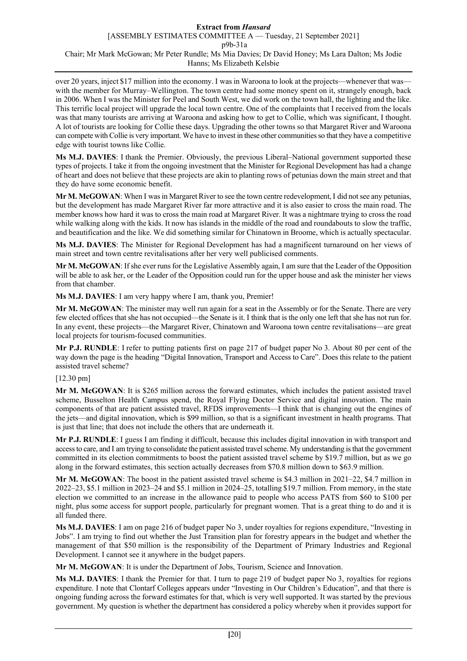over 20 years, inject \$17 million into the economy. I was in Waroona to look at the projects—whenever that was with the member for Murray–Wellington. The town centre had some money spent on it, strangely enough, back in 2006. When I was the Minister for Peel and South West, we did work on the town hall, the lighting and the like. This terrific local project will upgrade the local town centre. One of the complaints that I received from the locals was that many tourists are arriving at Waroona and asking how to get to Collie, which was significant, I thought. A lot of tourists are looking for Collie these days. Upgrading the other towns so that Margaret River and Waroona can compete with Collie is very important. We have to invest in these other communities so that they have a competitive edge with tourist towns like Collie.

**Ms M.J. DAVIES**: I thank the Premier. Obviously, the previous Liberal–National government supported these types of projects. I take it from the ongoing investment that the Minister for Regional Development has had a change of heart and does not believe that these projects are akin to planting rows of petunias down the main street and that they do have some economic benefit.

**Mr M. McGOWAN**: When I was in Margaret River to see the town centre redevelopment, I did not see any petunias, but the development has made Margaret River far more attractive and it is also easier to cross the main road. The member knows how hard it was to cross the main road at Margaret River. It was a nightmare trying to cross the road while walking along with the kids. It now has islands in the middle of the road and roundabouts to slow the traffic, and beautification and the like. We did something similar for Chinatown in Broome, which is actually spectacular.

**Ms M.J. DAVIES**: The Minister for Regional Development has had a magnificent turnaround on her views of main street and town centre revitalisations after her very well publicised comments.

**Mr M. McGOWAN**: If she ever runs for the Legislative Assembly again, I am sure that the Leader of the Opposition will be able to ask her, or the Leader of the Opposition could run for the upper house and ask the minister her views from that chamber.

**Ms M.J. DAVIES**: I am very happy where I am, thank you, Premier!

**Mr M. McGOWAN**: The minister may well run again for a seat in the Assembly or for the Senate. There are very few elected offices that she has not occupied—the Senate is it. I think that is the only one left that she has not run for. In any event, these projects—the Margaret River, Chinatown and Waroona town centre revitalisations—are great local projects for tourism-focused communities.

**Mr P.J. RUNDLE**: I refer to putting patients first on page 217 of budget paper No 3. About 80 per cent of the way down the page is the heading "Digital Innovation, Transport and Access to Care". Does this relate to the patient assisted travel scheme?

# [12.30 pm]

**Mr M. McGOWAN**: It is \$265 million across the forward estimates, which includes the patient assisted travel scheme, Busselton Health Campus spend, the Royal Flying Doctor Service and digital innovation. The main components of that are patient assisted travel, RFDS improvements—I think that is changing out the engines of the jets—and digital innovation, which is \$99 million, so that is a significant investment in health programs. That is just that line; that does not include the others that are underneath it.

**Mr P.J. RUNDLE**: I guess I am finding it difficult, because this includes digital innovation in with transport and access to care, and I am trying to consolidate the patient assisted travel scheme. My understanding is that the government committed in its election commitments to boost the patient assisted travel scheme by \$19.7 million, but as we go along in the forward estimates, this section actually decreases from \$70.8 million down to \$63.9 million.

**Mr M. McGOWAN**: The boost in the patient assisted travel scheme is \$4.3 million in 2021–22, \$4.7 million in 2022–23, \$5.1 million in 2023–24 and \$5.1 million in 2024–25, totalling \$19.7 million. From memory, in the state election we committed to an increase in the allowance paid to people who access PATS from \$60 to \$100 per night, plus some access for support people, particularly for pregnant women. That is a great thing to do and it is all funded there.

**Ms M.J. DAVIES**: I am on page 216 of budget paper No 3, under royalties for regions expenditure, "Investing in Jobs". I am trying to find out whether the Just Transition plan for forestry appears in the budget and whether the management of that \$50 million is the responsibility of the Department of Primary Industries and Regional Development. I cannot see it anywhere in the budget papers.

**Mr M. McGOWAN**: It is under the Department of Jobs, Tourism, Science and Innovation.

**Ms M.J. DAVIES**: I thank the Premier for that. I turn to page 219 of budget paper No 3, royalties for regions expenditure. I note that Clontarf Colleges appears under "Investing in Our Children's Education", and that there is ongoing funding across the forward estimates for that, which is very well supported. It was started by the previous government. My question is whether the department has considered a policy whereby when it provides support for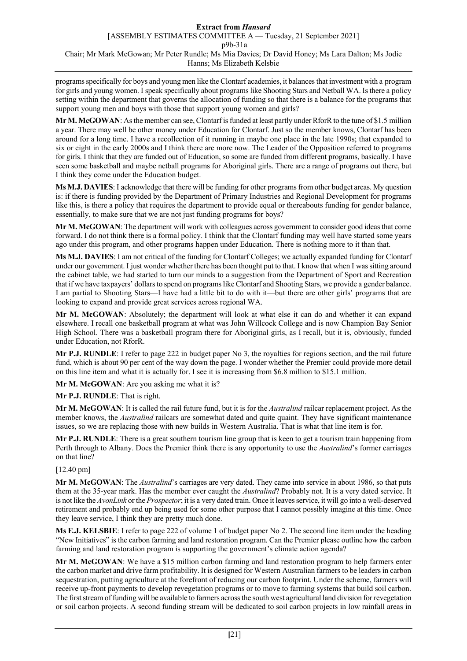programs specifically for boys and young men like the Clontarf academies, it balances that investment with a program for girls and young women. I speak specifically about programs like Shooting Stars and Netball WA. Is there a policy setting within the department that governs the allocation of funding so that there is a balance for the programs that support young men and boys with those that support young women and girls?

**Mr M. McGOWAN**: As the member can see, Clontarf is funded at least partly under RforR to the tune of \$1.5 million a year. There may well be other money under Education for Clontarf. Just so the member knows, Clontarf has been around for a long time. I have a recollection of it running in maybe one place in the late 1990s; that expanded to six or eight in the early 2000s and I think there are more now. The Leader of the Opposition referred to programs for girls. I think that they are funded out of Education, so some are funded from different programs, basically. I have seen some basketball and maybe netball programs for Aboriginal girls. There are a range of programs out there, but I think they come under the Education budget.

**Ms M.J. DAVIES**: I acknowledge that there will be funding for other programs from other budget areas. My question is: if there is funding provided by the Department of Primary Industries and Regional Development for programs like this, is there a policy that requires the department to provide equal or thereabouts funding for gender balance, essentially, to make sure that we are not just funding programs for boys?

**Mr M. McGOWAN**: The department will work with colleagues across government to consider good ideas that come forward. I do not think there is a formal policy. I think that the Clontarf funding may well have started some years ago under this program, and other programs happen under Education. There is nothing more to it than that.

**Ms M.J. DAVIES**: I am not critical of the funding for Clontarf Colleges; we actually expanded funding for Clontarf under our government. I just wonder whether there has been thought put to that. I know that when I was sitting around the cabinet table, we had started to turn our minds to a suggestion from the Department of Sport and Recreation that if we have taxpayers' dollars to spend on programs like Clontarf and Shooting Stars, we provide a gender balance. I am partial to Shooting Stars—I have had a little bit to do with it—but there are other girls' programs that are looking to expand and provide great services across regional WA.

**Mr M. McGOWAN**: Absolutely; the department will look at what else it can do and whether it can expand elsewhere. I recall one basketball program at what was John Willcock College and is now Champion Bay Senior High School. There was a basketball program there for Aboriginal girls, as I recall, but it is, obviously, funded under Education, not RforR.

**Mr P.J. RUNDLE**: I refer to page 222 in budget paper No 3, the royalties for regions section, and the rail future fund, which is about 90 per cent of the way down the page. I wonder whether the Premier could provide more detail on this line item and what it is actually for. I see it is increasing from \$6.8 million to \$15.1 million.

**Mr M. McGOWAN**: Are you asking me what it is?

**Mr P.J. RUNDLE**: That is right.

**Mr M. McGOWAN**: It is called the rail future fund, but it is for the *Australind* railcar replacement project. As the member knows, the *Australind* railcars are somewhat dated and quite quaint. They have significant maintenance issues, so we are replacing those with new builds in Western Australia. That is what that line item is for.

**Mr P.J. RUNDLE**: There is a great southern tourism line group that is keen to get a tourism train happening from Perth through to Albany. Does the Premier think there is any opportunity to use the *Australind*'s former carriages on that line?

[12.40 pm]

**Mr M. McGOWAN**: The *Australind*'s carriages are very dated. They came into service in about 1986, so that puts them at the 35-year mark. Has the member ever caught the *Australind*? Probably not. It is a very dated service. It is not like the *AvonLink* or the *Prospector*; it is a very dated train. Once it leaves service, it will go into a well-deserved retirement and probably end up being used for some other purpose that I cannot possibly imagine at this time. Once they leave service, I think they are pretty much done.

**Ms E.J. KELSBIE**: I refer to page 222 of volume 1 of budget paper No 2. The second line item under the heading "New Initiatives" is the carbon farming and land restoration program. Can the Premier please outline how the carbon farming and land restoration program is supporting the government's climate action agenda?

**Mr M. McGOWAN**: We have a \$15 million carbon farming and land restoration program to help farmers enter the carbon market and drive farm profitability. It is designed for Western Australian farmers to be leaders in carbon sequestration, putting agriculture at the forefront of reducing our carbon footprint. Under the scheme, farmers will receive up-front payments to develop revegetation programs or to move to farming systems that build soil carbon. The first stream of funding will be available to farmers across the south west agricultural land division for revegetation or soil carbon projects. A second funding stream will be dedicated to soil carbon projects in low rainfall areas in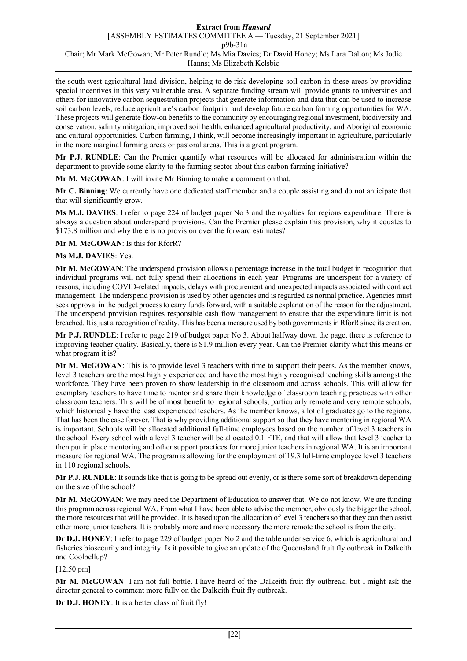the south west agricultural land division, helping to de-risk developing soil carbon in these areas by providing special incentives in this very vulnerable area. A separate funding stream will provide grants to universities and others for innovative carbon sequestration projects that generate information and data that can be used to increase soil carbon levels, reduce agriculture's carbon footprint and develop future carbon farming opportunities for WA. These projects will generate flow-on benefits to the community by encouraging regional investment, biodiversity and conservation, salinity mitigation, improved soil health, enhanced agricultural productivity, and Aboriginal economic and cultural opportunities. Carbon farming, I think, will become increasingly important in agriculture, particularly in the more marginal farming areas or pastoral areas. This is a great program.

**Mr P.J. RUNDLE**: Can the Premier quantify what resources will be allocated for administration within the department to provide some clarity to the farming sector about this carbon farming initiative?

**Mr M. McGOWAN**: I will invite Mr Binning to make a comment on that.

**Mr C. Binning**: We currently have one dedicated staff member and a couple assisting and do not anticipate that that will significantly grow.

**Ms M.J. DAVIES**: I refer to page 224 of budget paper No 3 and the royalties for regions expenditure. There is always a question about underspend provisions. Can the Premier please explain this provision, why it equates to \$173.8 million and why there is no provision over the forward estimates?

**Mr M. McGOWAN**: Is this for RforR?

# **Ms M.J. DAVIES**: Yes.

**Mr M. McGOWAN**: The underspend provision allows a percentage increase in the total budget in recognition that individual programs will not fully spend their allocations in each year. Programs are underspent for a variety of reasons, including COVID-related impacts, delays with procurement and unexpected impacts associated with contract management. The underspend provision is used by other agencies and is regarded as normal practice. Agencies must seek approval in the budget process to carry funds forward, with a suitable explanation of the reason for the adjustment. The underspend provision requires responsible cash flow management to ensure that the expenditure limit is not breached. It is just a recognition of reality. This has been a measure used by both governments in RforR since its creation.

**Mr P.J. RUNDLE**: I refer to page 219 of budget paper No 3. About halfway down the page, there is reference to improving teacher quality. Basically, there is \$1.9 million every year. Can the Premier clarify what this means or what program it is?

**Mr M. McGOWAN**: This is to provide level 3 teachers with time to support their peers. As the member knows, level 3 teachers are the most highly experienced and have the most highly recognised teaching skills amongst the workforce. They have been proven to show leadership in the classroom and across schools. This will allow for exemplary teachers to have time to mentor and share their knowledge of classroom teaching practices with other classroom teachers. This will be of most benefit to regional schools, particularly remote and very remote schools, which historically have the least experienced teachers. As the member knows, a lot of graduates go to the regions. That has been the case forever. That is why providing additional support so that they have mentoring in regional WA is important. Schools will be allocated additional full-time employees based on the number of level 3 teachers in the school. Every school with a level 3 teacher will be allocated 0.1 FTE, and that will allow that level 3 teacher to then put in place mentoring and other support practices for more junior teachers in regional WA. It is an important measure for regional WA. The program is allowing for the employment of 19.3 full-time employee level 3 teachers in 110 regional schools.

**Mr P.J. RUNDLE**: It sounds like that is going to be spread out evenly, or is there some sort of breakdown depending on the size of the school?

**Mr M. McGOWAN**: We may need the Department of Education to answer that. We do not know. We are funding this program across regional WA. From what I have been able to advise the member, obviously the bigger the school, the more resources that will be provided. It is based upon the allocation of level 3 teachers so that they can then assist other more junior teachers. It is probably more and more necessary the more remote the school is from the city.

**Dr D.J. HONEY**: I refer to page 229 of budget paper No 2 and the table under service 6, which is agricultural and fisheries biosecurity and integrity. Is it possible to give an update of the Queensland fruit fly outbreak in Dalkeith and Coolbellup?

[12.50 pm]

**Mr M. McGOWAN**: I am not full bottle. I have heard of the Dalkeith fruit fly outbreak, but I might ask the director general to comment more fully on the Dalkeith fruit fly outbreak.

**Dr D.J. HONEY**: It is a better class of fruit fly!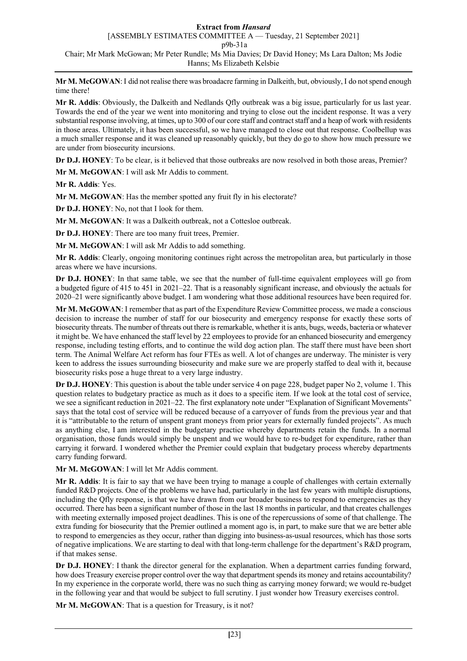**Mr M. McGOWAN**: I did not realise there was broadacre farming in Dalkeith, but, obviously, I do not spend enough time there!

**Mr R. Addis**: Obviously, the Dalkeith and Nedlands Qfly outbreak was a big issue, particularly for us last year. Towards the end of the year we went into monitoring and trying to close out the incident response. It was a very substantial response involving, at times, up to 300 of our core staff and contract staff and a heap of work with residents in those areas. Ultimately, it has been successful, so we have managed to close out that response. Coolbellup was a much smaller response and it was cleaned up reasonably quickly, but they do go to show how much pressure we are under from biosecurity incursions.

**Dr D.J. HONEY**: To be clear, is it believed that those outbreaks are now resolved in both those areas, Premier?

**Mr M. McGOWAN**: I will ask Mr Addis to comment.

**Mr R. Addis**: Yes.

**Mr M. McGOWAN**: Has the member spotted any fruit fly in his electorate?

**Dr D.J. HONEY**: No, not that I look for them.

**Mr M. McGOWAN**: It was a Dalkeith outbreak, not a Cottesloe outbreak.

**Dr D.J. HONEY**: There are too many fruit trees, Premier.

**Mr M. McGOWAN**: I will ask Mr Addis to add something.

**Mr R. Addis**: Clearly, ongoing monitoring continues right across the metropolitan area, but particularly in those areas where we have incursions.

**Dr D.J. HONEY**: In that same table, we see that the number of full-time equivalent employees will go from a budgeted figure of 415 to 451 in 2021–22. That is a reasonably significant increase, and obviously the actuals for 2020–21 were significantly above budget. I am wondering what those additional resources have been required for.

**Mr M. McGOWAN**: I remember that as part of the Expenditure Review Committee process, we made a conscious decision to increase the number of staff for our biosecurity and emergency response for exactly these sorts of biosecurity threats. The number of threats out there is remarkable, whether it is ants, bugs, weeds, bacteria or whatever it might be. We have enhanced the staff level by 22 employees to provide for an enhanced biosecurity and emergency response, including testing efforts, and to continue the wild dog action plan. The staff there must have been short term. The Animal Welfare Act reform has four FTEs as well. A lot of changes are underway. The minister is very keen to address the issues surrounding biosecurity and make sure we are properly staffed to deal with it, because biosecurity risks pose a huge threat to a very large industry.

**Dr D.J. HONEY**: This question is about the table under service 4 on page 228, budget paper No 2, volume 1. This question relates to budgetary practice as much as it does to a specific item. If we look at the total cost of service, we see a significant reduction in 2021–22. The first explanatory note under "Explanation of Significant Movements" says that the total cost of service will be reduced because of a carryover of funds from the previous year and that it is "attributable to the return of unspent grant moneys from prior years for externally funded projects". As much as anything else, I am interested in the budgetary practice whereby departments retain the funds. In a normal organisation, those funds would simply be unspent and we would have to re-budget for expenditure, rather than carrying it forward. I wondered whether the Premier could explain that budgetary process whereby departments carry funding forward.

**Mr M. McGOWAN**: I will let Mr Addis comment.

**Mr R. Addis**: It is fair to say that we have been trying to manage a couple of challenges with certain externally funded R&D projects. One of the problems we have had, particularly in the last few years with multiple disruptions, including the Qfly response, is that we have drawn from our broader business to respond to emergencies as they occurred. There has been a significant number of those in the last 18 months in particular, and that creates challenges with meeting externally imposed project deadlines. This is one of the repercussions of some of that challenge. The extra funding for biosecurity that the Premier outlined a moment ago is, in part, to make sure that we are better able to respond to emergencies as they occur, rather than digging into business-as-usual resources, which has those sorts of negative implications. We are starting to deal with that long-term challenge for the department's R&D program, if that makes sense.

**Dr D.J. HONEY**: I thank the director general for the explanation. When a department carries funding forward, how does Treasury exercise proper control over the way that department spends its money and retains accountability? In my experience in the corporate world, there was no such thing as carrying money forward; we would re-budget in the following year and that would be subject to full scrutiny. I just wonder how Treasury exercises control.

**Mr M. McGOWAN**: That is a question for Treasury, is it not?